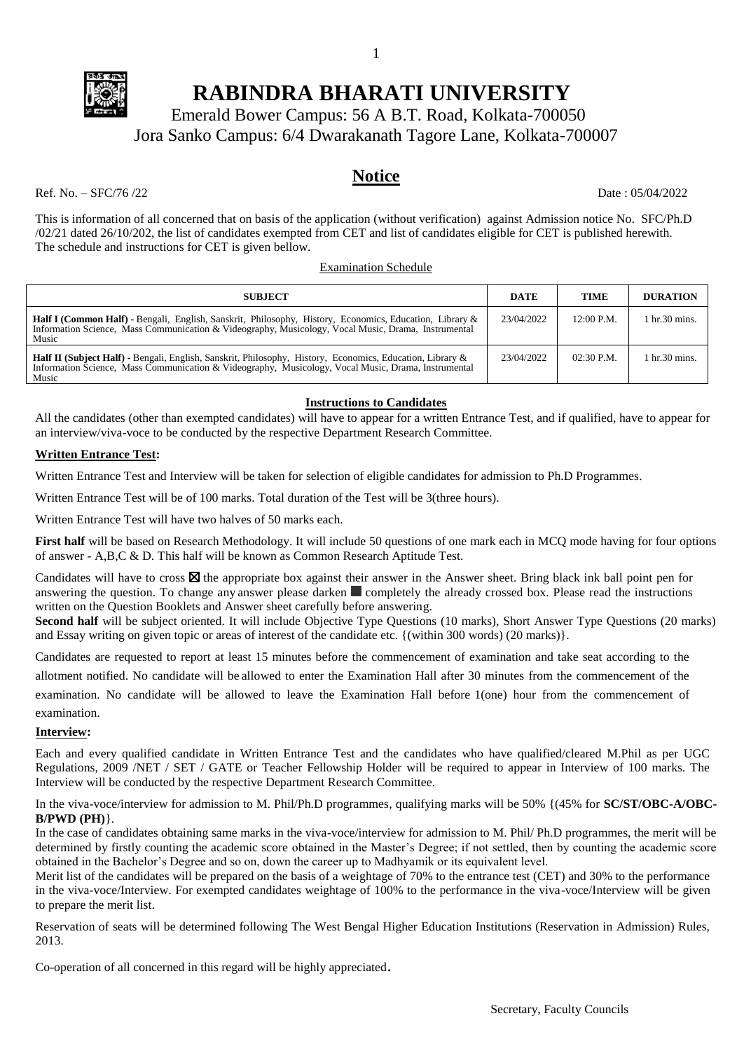

# **RABINDRA BHARATI UNIVERSITY**

1

Emerald Bower Campus: 56 A B.T. Road, Kolkata-700050 Jora Sanko Campus: 6/4 Dwarakanath Tagore Lane, Kolkata-700007

#### **Notice**

Ref. No. – SFC/76/22 Date : 05/04/2022

This is information of all concerned that on basis of the application (without verification) against Admission notice No. SFC/Ph.D /02/21 dated 26/10/202, the list of candidates exempted from CET and list of candidates eligible for CET is published herewith. The schedule and instructions for CET is given bellow.

#### Examination Schedule

| <b>SUBJECT</b>                                                                                                                                                                                                                   | <b>DATE</b> | <b>TIME</b>  | <b>DURATION</b>                 |
|----------------------------------------------------------------------------------------------------------------------------------------------------------------------------------------------------------------------------------|-------------|--------------|---------------------------------|
| <b>Half I (Common Half)</b> - Bengali, English, Sanskrit, Philosophy, History, Economics, Education, Library &<br>Information Science, Mass Communication & Videography, Musicology, Vocal Music, Drama, Instrumental<br>Music   | 23/04/2022  | $12:00$ P.M. | 1 hr.30 mins.                   |
| <b>Half II (Subject Half)</b> - Bengali, English, Sanskrit, Philosophy, History, Economics, Education, Library &<br>Information Science, Mass Communication & Videography, Musicology, Vocal Music, Drama, Instrumental<br>Music | 23/04/2022  | $02:30$ P.M. | $1 \text{ hr}.30 \text{ mins}.$ |

#### **Instructions to Candidates**

All the candidates (other than exempted candidates) will have to appear for a written Entrance Test, and if qualified, have to appear for an interview/viva-voce to be conducted by the respective Department Research Committee.

#### **Written Entrance Test:**

Written Entrance Test and Interview will be taken for selection of eligible candidates for admission to Ph.D Programmes.

Written Entrance Test will be of 100 marks. Total duration of the Test will be 3(three hours).

Written Entrance Test will have two halves of 50 marks each.

**First half** will be based on Research Methodology. It will include 50 questions of one mark each in MCQ mode having for four options of answer - A,B,C & D. This half will be known as Common Research Aptitude Test.

Candidates will have to cross  $\boxtimes$  the appropriate box against their answer in the Answer sheet. Bring black ink ball point pen for answering the question. To change any answer please darken **completely** the already crossed box. Please read the instructions written on the Question Booklets and Answer sheet carefully before answering.

**Second half** will be subject oriented. It will include Objective Type Questions (10 marks), Short Answer Type Questions (20 marks) and Essay writing on given topic or areas of interest of the candidate etc. {(within 300 words) (20 marks)}.

Candidates are requested to report at least 15 minutes before the commencement of examination and take seat according to the

allotment notified. No candidate will be allowed to enter the Examination Hall after 30 minutes from the commencement of the

examination. No candidate will be allowed to leave the Examination Hall before 1(one) hour from the commencement of examination.

#### **Interview:**

Each and every qualified candidate in Written Entrance Test and the candidates who have qualified/cleared M.Phil as per UGC Regulations, 2009 /NET / SET / GATE or Teacher Fellowship Holder will be required to appear in Interview of 100 marks. The Interview will be conducted by the respective Department Research Committee.

In the viva-voce/interview for admission to M. Phil/Ph.D programmes, qualifying marks will be 50% {(45% for **SC/ST/OBC-A/OBC-B/PWD (PH)**}.

In the case of candidates obtaining same marks in the viva-voce/interview for admission to M. Phil/ Ph.D programmes, the merit will be determined by firstly counting the academic score obtained in the Master's Degree; if not settled, then by counting the academic score obtained in the Bachelor's Degree and so on, down the career up to Madhyamik or its equivalent level.

Merit list of the candidates will be prepared on the basis of a weightage of 70% to the entrance test (CET) and 30% to the performance in the viva-voce/Interview. For exempted candidates weightage of 100% to the performance in the viva-voce/Interview will be given to prepare the merit list.

Reservation of seats will be determined following The West Bengal Higher Education Institutions (Reservation in Admission) Rules, 2013.

Co-operation of all concerned in this regard will be highly appreciated.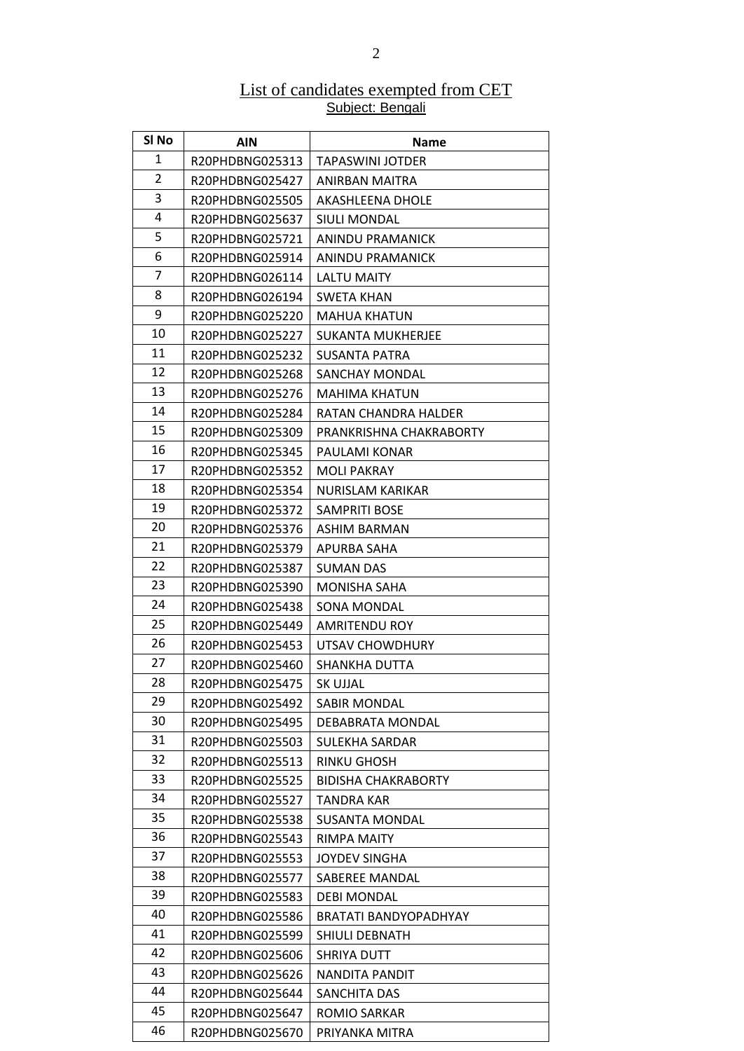#### List of candidates exempted from CET Subject: Bengali

| SI No    | <b>AIN</b>      | <b>Name</b>                  |
|----------|-----------------|------------------------------|
| 1        | R20PHDBNG025313 | TAPASWINI JOTDER             |
| 2        | R20PHDBNG025427 | ANIRBAN MAITRA               |
| 3        | R20PHDBNG025505 | AKASHLEENA DHOLE             |
| 4        | R20PHDBNG025637 | <b>SIULI MONDAL</b>          |
| 5        | R20PHDBNG025721 | ANINDU PRAMANICK             |
| 6        | R20PHDBNG025914 | ANINDU PRAMANICK             |
| 7        | R20PHDBNG026114 | LALTU MAITY                  |
| 8        | R20PHDBNG026194 | SWETA KHAN                   |
| 9        | R20PHDBNG025220 | <b>MAHUA KHATUN</b>          |
| 10       | R20PHDBNG025227 | <b>SUKANTA MUKHERJEE</b>     |
| 11       | R20PHDBNG025232 | SUSANTA PATRA                |
| 12       | R20PHDBNG025268 | <b>SANCHAY MONDAL</b>        |
| 13       | R20PHDBNG025276 | MAHIMA KHATUN                |
| 14       | R20PHDBNG025284 | RATAN CHANDRA HALDER         |
| 15       | R20PHDBNG025309 | PRANKRISHNA CHAKRABORTY      |
| 16       | R20PHDBNG025345 | PAULAMI KONAR                |
| 17       | R20PHDBNG025352 | <b>MOLI PAKRAY</b>           |
| 18       | R20PHDBNG025354 | NURISLAM KARIKAR             |
| 19       | R20PHDBNG025372 | <b>SAMPRITI BOSE</b>         |
| 20       | R20PHDBNG025376 | ASHIM BARMAN                 |
| 21       | R20PHDBNG025379 | APURBA SAHA                  |
| 22       | R20PHDBNG025387 | SUMAN DAS                    |
| 23       | R20PHDBNG025390 | MONISHA SAHA                 |
| 24       | R20PHDBNG025438 | SONA MONDAL                  |
| 25       | R20PHDBNG025449 | <b>AMRITENDU ROY</b>         |
| 26       | R20PHDBNG025453 | UTSAV CHOWDHURY              |
| 27       | R20PHDBNG025460 | SHANKHA DUTTA                |
| 28       | R20PHDBNG025475 | SK UJJAL                     |
| 29       | R20PHDBNG025492 | SABIR MONDAL                 |
| 30       | R20PHDBNG025495 | DEBABRATA MONDAL             |
| 31       | R20PHDBNG025503 | SULEKHA SARDAR               |
| 32       | R20PHDBNG025513 | <b>RINKU GHOSH</b>           |
| 33       | R20PHDBNG025525 | <b>BIDISHA CHAKRABORTY</b>   |
| 34       | R20PHDBNG025527 | <b>TANDRA KAR</b>            |
| 35       | R20PHDBNG025538 | SUSANTA MONDAL               |
| 36       | R20PHDBNG025543 | RIMPA MAITY                  |
| 37       | R20PHDBNG025553 | <b>JOYDEV SINGHA</b>         |
| 38       | R20PHDBNG025577 | SABEREE MANDAL               |
| 39       | R20PHDBNG025583 | <b>DEBI MONDAL</b>           |
| 40       | R20PHDBNG025586 | <b>BRATATI BANDYOPADHYAY</b> |
| 41<br>42 | R20PHDBNG025599 | SHIULI DEBNATH               |
|          | R20PHDBNG025606 | <b>SHRIYA DUTT</b>           |
| 43<br>44 | R20PHDBNG025626 | NANDITA PANDIT               |
| 45       | R20PHDBNG025644 | SANCHITA DAS                 |
|          | R20PHDBNG025647 | <b>ROMIO SARKAR</b>          |
| 46       | R20PHDBNG025670 | PRIYANKA MITRA               |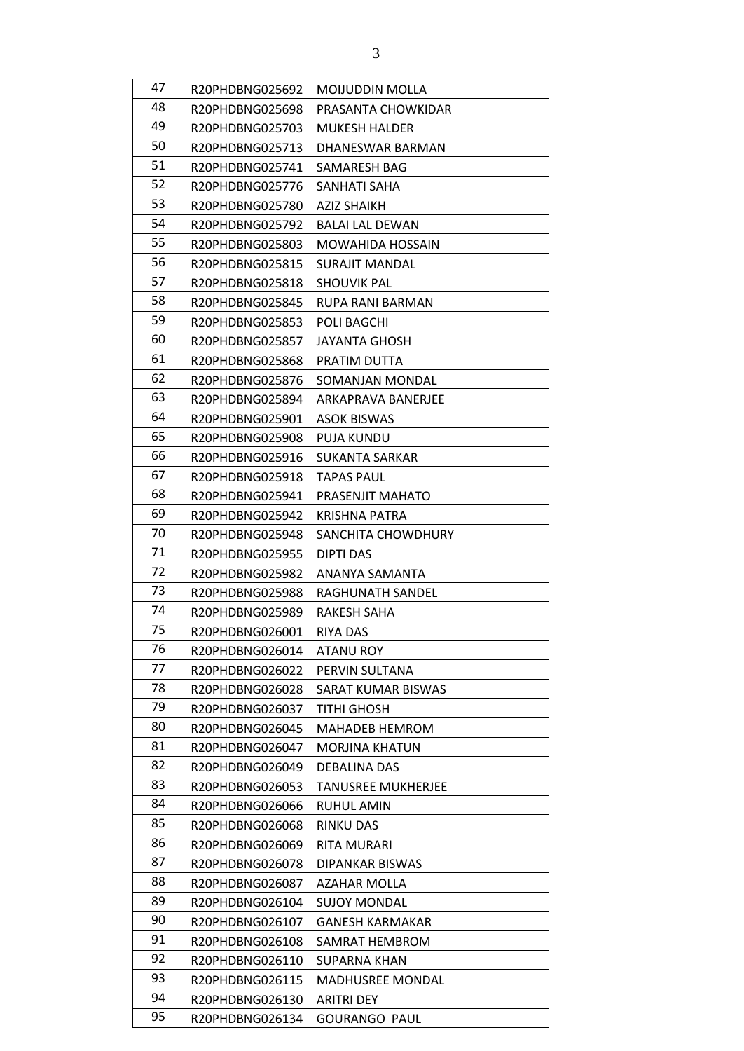| 47 | R20PHDBNG025692 | <b>MOIJUDDIN MOLLA</b>    |
|----|-----------------|---------------------------|
| 48 | R20PHDBNG025698 | PRASANTA CHOWKIDAR        |
| 49 | R20PHDBNG025703 | <b>MUKESH HALDER</b>      |
| 50 | R20PHDBNG025713 | DHANESWAR BARMAN          |
| 51 | R20PHDBNG025741 | SAMARESH BAG              |
| 52 |                 |                           |
| 53 | R20PHDBNG025776 | SANHATI SAHA              |
| 54 | R20PHDBNG025780 | <b>AZIZ SHAIKH</b>        |
| 55 | R20PHDBNG025792 | <b>BALAI LAL DEWAN</b>    |
| 56 | R20PHDBNG025803 | <b>MOWAHIDA HOSSAIN</b>   |
| 57 | R20PHDBNG025815 | <b>SURAJIT MANDAL</b>     |
| 58 | R20PHDBNG025818 | <b>SHOUVIK PAL</b>        |
| 59 | R20PHDBNG025845 | <b>RUPA RANI BARMAN</b>   |
| 60 | R20PHDBNG025853 | POLI BAGCHI               |
|    | R20PHDBNG025857 | <b>JAYANTA GHOSH</b>      |
| 61 | R20PHDBNG025868 | PRATIM DUTTA              |
| 62 | R20PHDBNG025876 | SOMANJAN MONDAL           |
| 63 | R20PHDBNG025894 | ARKAPRAVA BANERJEE        |
| 64 | R20PHDBNG025901 | <b>ASOK BISWAS</b>        |
| 65 | R20PHDBNG025908 | <b>PUJA KUNDU</b>         |
| 66 | R20PHDBNG025916 | SUKANTA SARKAR            |
| 67 | R20PHDBNG025918 | TAPAS PAUL                |
| 68 | R20PHDBNG025941 | PRASENJIT MAHATO          |
| 69 | R20PHDBNG025942 | <b>KRISHNA PATRA</b>      |
| 70 | R20PHDBNG025948 | SANCHITA CHOWDHURY        |
| 71 | R20PHDBNG025955 | DIPTI DAS                 |
| 72 | R20PHDBNG025982 | ANANYA SAMANTA            |
| 73 | R20PHDBNG025988 | RAGHUNATH SANDEL          |
| 74 | R20PHDBNG025989 | RAKESH SAHA               |
| 75 | R20PHDBNG026001 | RIYA DAS                  |
| 76 | R20PHDBNG026014 | <b>ATANU ROY</b>          |
| 77 | R20PHDBNG026022 | PERVIN SULTANA            |
| 78 | R20PHDBNG026028 | SARAT KUMAR BISWAS        |
| 79 | R20PHDBNG026037 | TITHI GHOSH               |
| 80 | R20PHDBNG026045 | <b>MAHADEB HEMROM</b>     |
| 81 | R20PHDBNG026047 | <b>MORJINA KHATUN</b>     |
| 82 | R20PHDBNG026049 | DEBALINA DAS              |
| 83 | R20PHDBNG026053 | <b>TANUSREE MUKHERJEE</b> |
| 84 | R20PHDBNG026066 | RUHUL AMIN                |
| 85 | R20PHDBNG026068 | RINKU DAS                 |
| 86 | R20PHDBNG026069 | RITA MURARI               |
| 87 | R20PHDBNG026078 | DIPANKAR BISWAS           |
| 88 | R20PHDBNG026087 | <b>AZAHAR MOLLA</b>       |
| 89 | R20PHDBNG026104 | <b>SUJOY MONDAL</b>       |
| 90 | R20PHDBNG026107 | <b>GANESH KARMAKAR</b>    |
| 91 | R20PHDBNG026108 | SAMRAT HEMBROM            |
| 92 | R20PHDBNG026110 | SUPARNA KHAN              |
| 93 | R20PHDBNG026115 | MADHUSREE MONDAL          |
| 94 | R20PHDBNG026130 | <b>ARITRI DEY</b>         |
| 95 | R20PHDBNG026134 | <b>GOURANGO PAUL</b>      |
|    |                 |                           |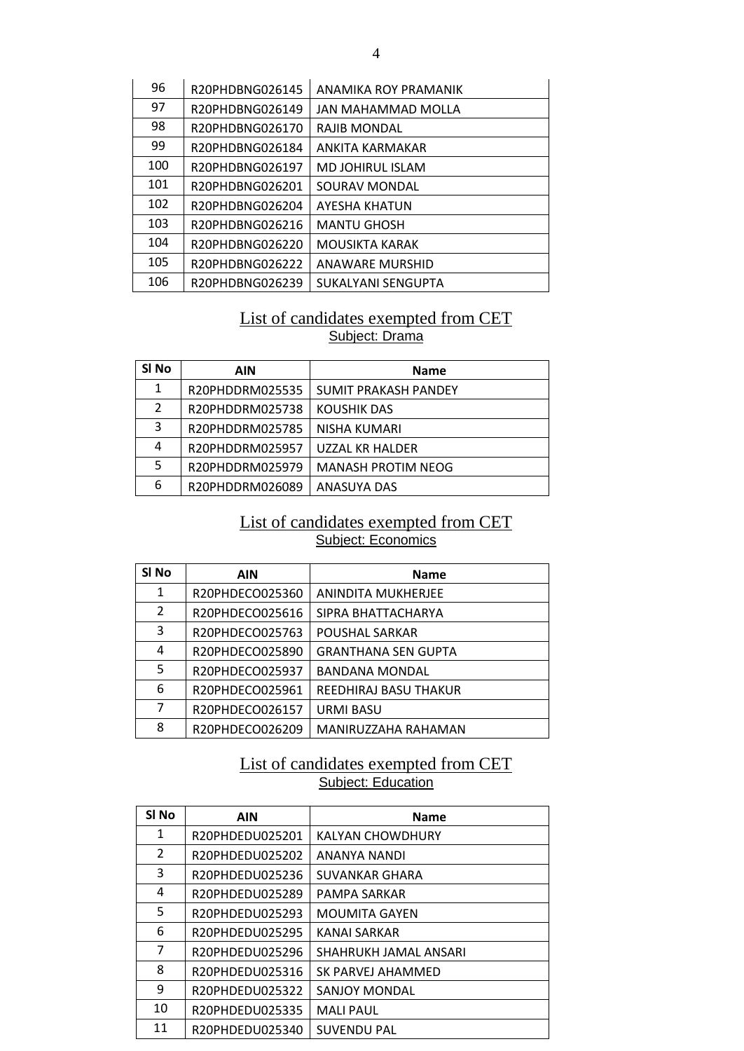| 96  | R20PHDBNG026145 | ANAMIKA ROY PRAMANIK  |
|-----|-----------------|-----------------------|
| 97  | R20PHDBNG026149 | JAN MAHAMMAD MOLLA    |
| 98  | R20PHDBNG026170 | RAJIB MONDAL          |
| 99  | R20PHDBNG026184 | ANKITA KARMAKAR       |
| 100 | R20PHDBNG026197 | MD JOHIRUL ISLAM      |
| 101 | R20PHDBNG026201 | SOURAV MONDAL         |
| 102 | R20PHDBNG026204 | <b>AYESHA KHATUN</b>  |
| 103 | R20PHDBNG026216 | <b>MANTU GHOSH</b>    |
| 104 | R20PHDBNG026220 | <b>MOUSIKTA KARAK</b> |
| 105 | R20PHDBNG026222 | ANAWARE MURSHID       |
| 106 | R20PHDBNG026239 | SUKALYANI SENGUPTA    |

### List of candidates exempted from CET Subject: Drama

| SI <sub>No</sub> | AIN             | <b>Name</b>                 |
|------------------|-----------------|-----------------------------|
| 1                | R20PHDDRM025535 | <b>SUMIT PRAKASH PANDEY</b> |
| 2                | R20PHDDRM025738 | <b>KOUSHIK DAS</b>          |
| 3                | R20PHDDRM025785 | NISHA KUMARI                |
| 4                | R20PHDDRM025957 | <b>UZZAL KR HALDER</b>      |
| 5                | R20PHDDRM025979 | <b>MANASH PROTIM NEOG</b>   |
| 6                | R20PHDDRM026089 | <b>ANASUYA DAS</b>          |

#### List of candidates exempted from CET Subject: Economics

| SI <sub>No</sub> | <b>AIN</b>      | <b>Name</b>                |
|------------------|-----------------|----------------------------|
| $\mathbf{1}$     | R20PHDECO025360 | <b>ANINDITA MUKHERJEE</b>  |
| $\overline{2}$   | R20PHDECO025616 | SIPRA BHATTACHARYA         |
| 3                | R20PHDECO025763 | POUSHAL SARKAR             |
| 4                | R20PHDECO025890 | <b>GRANTHANA SEN GUPTA</b> |
| 5                | R20PHDECO025937 | <b>BANDANA MONDAL</b>      |
| 6                | R20PHDECO025961 | REEDHIRAJ BASU THAKUR      |
| 7                | R20PHDECO026157 | <b>URMI BASU</b>           |
| 8                | R20PHDECO026209 | MANIRUZZAHA RAHAMAN        |

# List of candidates exempted from CET Subject: Education

| SI <sub>No</sub> | <b>AIN</b>      | <b>Name</b>           |
|------------------|-----------------|-----------------------|
| 1                | R20PHDEDU025201 | KALYAN CHOWDHURY      |
| 2                | R20PHDEDU025202 | ANANYA NANDI          |
| 3                | R20PHDEDU025236 | SUVANKAR GHARA        |
| 4                | R20PHDEDU025289 | PAMPA SARKAR          |
| 5                | R20PHDEDU025293 | <b>MOUMITA GAYEN</b>  |
| 6                | R20PHDEDU025295 | KANAI SARKAR          |
| 7                | R20PHDEDU025296 | SHAHRUKH JAMAL ANSARI |
| 8                | R20PHDEDU025316 | SK PARVEJ AHAMMED     |
| 9                | R20PHDEDU025322 | SANJOY MONDAL         |
| 10               | R20PHDEDU025335 | <b>MALI PAUL</b>      |
| 11               | R20PHDEDU025340 | <b>SUVENDU PAL</b>    |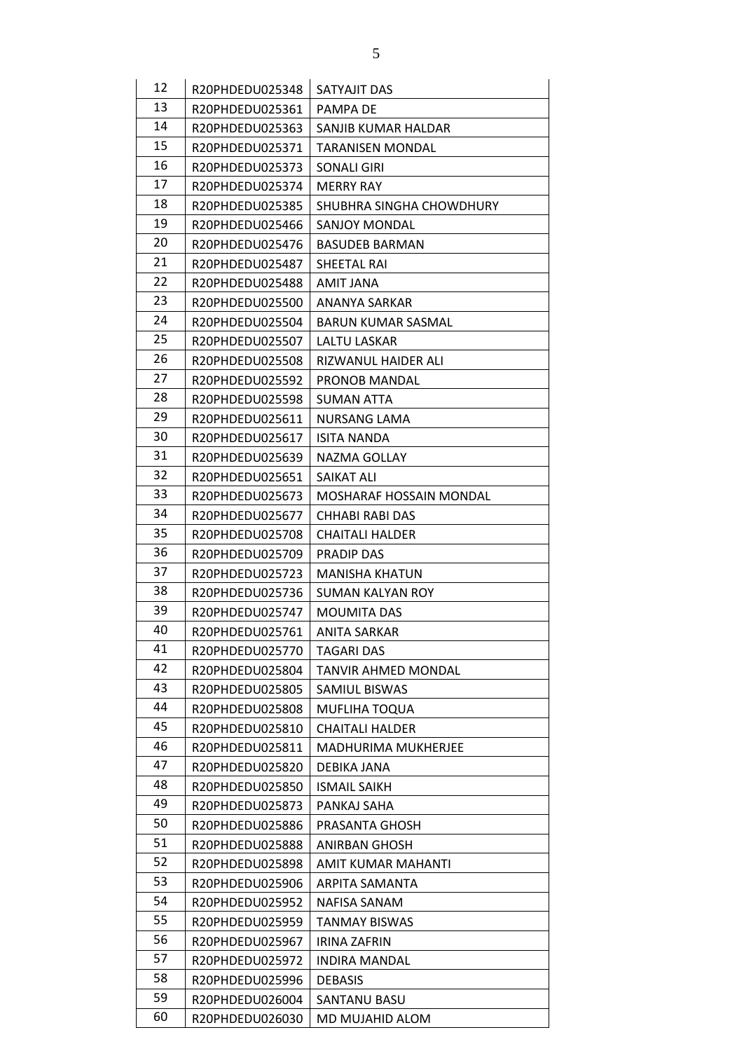| 12 |                 |                            |
|----|-----------------|----------------------------|
|    | R20PHDEDU025348 | SATYAJIT DAS               |
| 13 | R20PHDEDU025361 | PAMPA DE                   |
| 14 | R20PHDEDU025363 | SANJIB KUMAR HALDAR        |
| 15 | R20PHDEDU025371 | <b>TARANISEN MONDAL</b>    |
| 16 | R20PHDEDU025373 | SONALI GIRI                |
| 17 | R20PHDEDU025374 | <b>MERRY RAY</b>           |
| 18 | R20PHDEDU025385 | SHUBHRA SINGHA CHOWDHURY   |
| 19 | R20PHDEDU025466 | <b>SANJOY MONDAL</b>       |
| 20 | R20PHDEDU025476 | <b>BASUDEB BARMAN</b>      |
| 21 | R20PHDEDU025487 | SHEETAL RAI                |
| 22 | R20PHDEDU025488 | AMIT JANA                  |
| 23 | R20PHDEDU025500 | <b>ANANYA SARKAR</b>       |
| 24 | R20PHDEDU025504 | BARUN KUMAR SASMAL         |
| 25 | R20PHDEDU025507 | LALTU LASKAR               |
| 26 | R20PHDEDU025508 | RIZWANUL HAIDER ALI        |
| 27 | R20PHDEDU025592 | <b>PRONOB MANDAL</b>       |
| 28 | R20PHDEDU025598 | <b>SUMAN ATTA</b>          |
| 29 | R20PHDEDU025611 | NURSANG LAMA               |
| 30 | R20PHDEDU025617 | <b>ISITA NANDA</b>         |
| 31 | R20PHDEDU025639 | NAZMA GOLLAY               |
| 32 | R20PHDEDU025651 | SAIKAT ALI                 |
| 33 | R20PHDEDU025673 | MOSHARAF HOSSAIN MONDAL    |
| 34 | R20PHDEDU025677 | CHHABI RABI DAS            |
| 35 | R20PHDEDU025708 | <b>CHAITALI HALDER</b>     |
| 36 | R20PHDEDU025709 | <b>PRADIP DAS</b>          |
| 37 | R20PHDEDU025723 | <b>MANISHA KHATUN</b>      |
| 38 | R20PHDEDU025736 | SUMAN KALYAN ROY           |
| 39 | R20PHDEDU025747 | MOUMITA DAS                |
| 40 | R20PHDEDU025761 | <b>ANITA SARKAR</b>        |
| 41 | R20PHDEDU025770 | TAGARI DAS                 |
| 42 | R20PHDEDU025804 | TANVIR AHMED MONDAL        |
| 43 | R20PHDEDU025805 | <b>SAMIUL BISWAS</b>       |
| 44 | R20PHDEDU025808 | MUFLIHA TOQUA              |
| 45 | R20PHDEDU025810 | <b>CHAITALI HALDER</b>     |
| 46 | R20PHDEDU025811 | <b>MADHURIMA MUKHERJEE</b> |
| 47 | R20PHDEDU025820 | DEBIKA JANA                |
| 48 | R20PHDEDU025850 | <b>ISMAIL SAIKH</b>        |
| 49 | R20PHDEDU025873 | PANKAJ SAHA                |
| 50 | R20PHDEDU025886 | PRASANTA GHOSH             |
| 51 | R20PHDEDU025888 | <b>ANIRBAN GHOSH</b>       |
| 52 | R20PHDEDU025898 | AMIT KUMAR MAHANTI         |
| 53 | R20PHDEDU025906 | ARPITA SAMANTA             |
| 54 | R20PHDEDU025952 | NAFISA SANAM               |
| 55 | R20PHDEDU025959 | <b>TANMAY BISWAS</b>       |
| 56 | R20PHDEDU025967 | <b>IRINA ZAFRIN</b>        |
| 57 | R20PHDEDU025972 | <b>INDIRA MANDAL</b>       |
| 58 | R20PHDEDU025996 | <b>DEBASIS</b>             |
| 59 | R20PHDEDU026004 | SANTANU BASU               |
| 60 | R20PHDEDU026030 | MD MUJAHID ALOM            |
|    |                 |                            |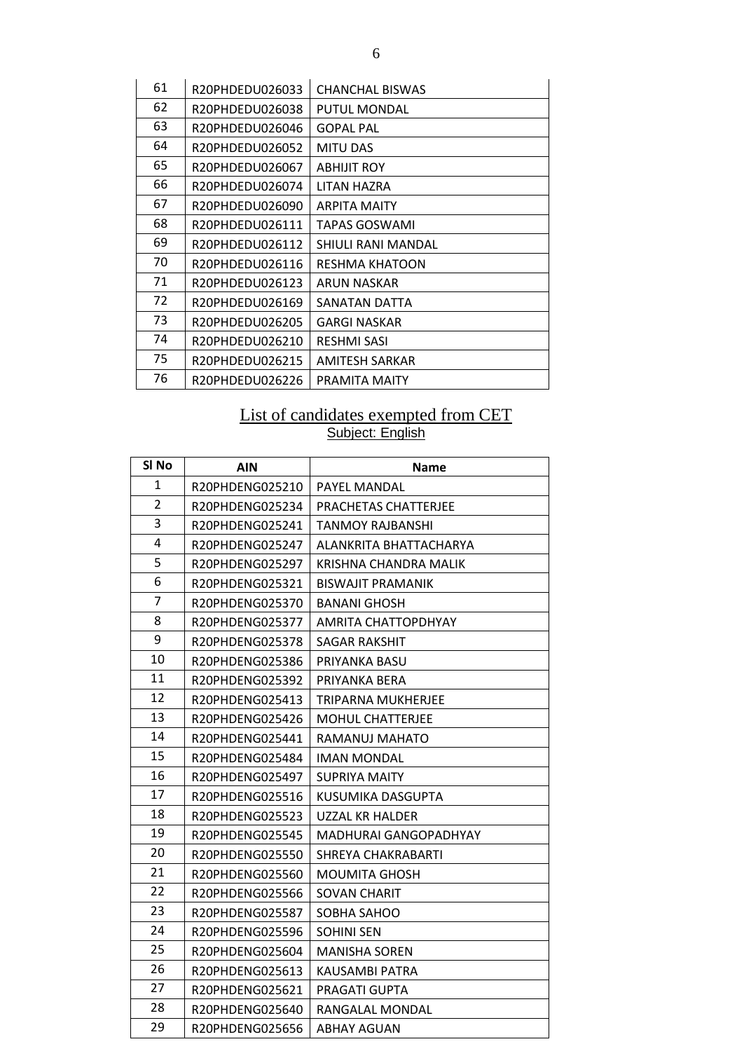| 61 | R20PHDEDU026033 | <b>CHANCHAL BISWAS</b> |
|----|-----------------|------------------------|
| 62 | R20PHDEDU026038 | <b>PUTUL MONDAL</b>    |
| 63 | R20PHDEDU026046 | <b>GOPAL PAL</b>       |
| 64 | R20PHDEDU026052 | <b>MITU DAS</b>        |
| 65 | R20PHDEDU026067 | <b>ABHIJIT ROY</b>     |
| 66 | R20PHDEDU026074 | LITAN HAZRA            |
| 67 | R20PHDEDU026090 | <b>ARPITA MAITY</b>    |
| 68 | R20PHDEDU026111 | TAPAS GOSWAMI          |
| 69 | R20PHDEDU026112 | SHIULI RANI MANDAL     |
| 70 | R20PHDEDU026116 | RESHMA KHATOON         |
| 71 | R20PHDEDU026123 | ARUN NASKAR            |
| 72 | R20PHDEDU026169 | SANATAN DATTA          |
| 73 | R20PHDEDU026205 | <b>GARGI NASKAR</b>    |
| 74 | R20PHDEDU026210 | <b>RESHMI SASI</b>     |
| 75 | R20PHDEDU026215 | <b>AMITESH SARKAR</b>  |
| 76 | R20PHDEDU026226 | <b>PRAMITA MAITY</b>   |

### List of candidates exempted from CET Subject: English

| SI No          | <b>AIN</b>      | <b>Name</b>                  |
|----------------|-----------------|------------------------------|
| 1              | R20PHDENG025210 | PAYEL MANDAL                 |
| $\overline{2}$ | R20PHDENG025234 | PRACHETAS CHATTERJEE         |
| 3              | R20PHDENG025241 | <b>TANMOY RAJBANSHI</b>      |
| 4              | R20PHDENG025247 | ALANKRITA BHATTACHARYA       |
| 5              | R20PHDENG025297 | KRISHNA CHANDRA MALIK        |
| 6              | R20PHDENG025321 | <b>BISWAJIT PRAMANIK</b>     |
| $\overline{7}$ | R20PHDENG025370 | <b>BANANI GHOSH</b>          |
| 8              | R20PHDENG025377 | AMRITA CHATTOPDHYAY          |
| 9              | R20PHDENG025378 | <b>SAGAR RAKSHIT</b>         |
| 10             | R20PHDENG025386 | PRIYANKA BASU                |
| 11             | R20PHDENG025392 | PRIYANKA BERA                |
| 12             | R20PHDENG025413 | TRIPARNA MUKHERJEE           |
| 13             | R20PHDENG025426 | <b>MOHUL CHATTERJEE</b>      |
| 14             | R20PHDENG025441 | RAMANUJ MAHATO               |
| 15             | R20PHDENG025484 | <b>IMAN MONDAL</b>           |
| 16             | R20PHDENG025497 | SUPRIYA MAITY                |
| 17             | R20PHDENG025516 | KUSUMIKA DASGUPTA            |
| 18             | R20PHDENG025523 | <b>UZZAL KR HALDER</b>       |
| 19             | R20PHDENG025545 | <b>MADHURAI GANGOPADHYAY</b> |
| 20             | R20PHDENG025550 | SHREYA CHAKRABARTI           |
| 21             | R20PHDENG025560 | <b>MOUMITA GHOSH</b>         |
| 22             | R20PHDENG025566 | SOVAN CHARIT                 |
| 23             | R20PHDENG025587 | SOBHA SAHOO                  |
| 24             | R20PHDENG025596 | <b>SOHINI SEN</b>            |
| 25             | R20PHDENG025604 | <b>MANISHA SOREN</b>         |
| 26             | R20PHDENG025613 | KAUSAMBI PATRA               |
| 27             | R20PHDENG025621 | PRAGATI GUPTA                |
| 28             | R20PHDENG025640 | RANGALAL MONDAL              |
| 29             | R20PHDENG025656 | ABHAY AGUAN                  |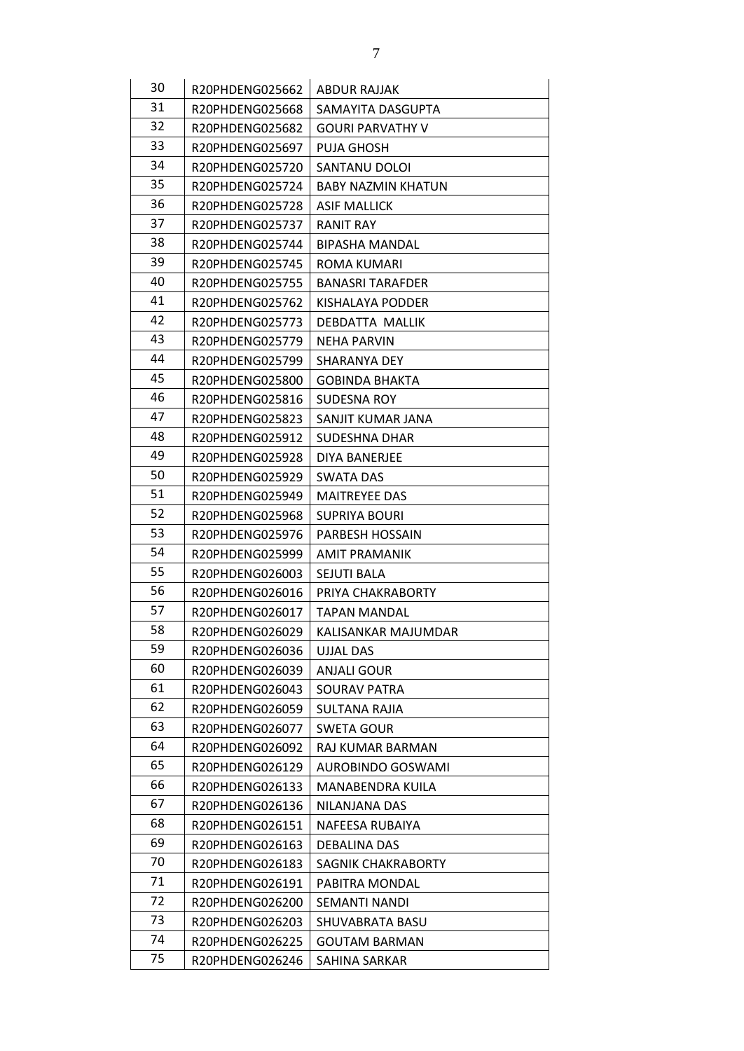| 30 | R20PHDENG025662 | <b>ABDUR RAJJAK</b>       |
|----|-----------------|---------------------------|
| 31 | R20PHDENG025668 | SAMAYITA DASGUPTA         |
| 32 | R20PHDENG025682 | <b>GOURI PARVATHY V</b>   |
| 33 | R20PHDENG025697 | <b>PUJA GHOSH</b>         |
| 34 | R20PHDENG025720 | SANTANU DOLOI             |
| 35 | R20PHDENG025724 | <b>BABY NAZMIN KHATUN</b> |
| 36 | R20PHDENG025728 | ASIF MALLICK              |
| 37 | R20PHDENG025737 | <b>RANIT RAY</b>          |
| 38 | R20PHDENG025744 | <b>BIPASHA MANDAL</b>     |
| 39 | R20PHDENG025745 | ROMA KUMARI               |
| 40 | R20PHDENG025755 | <b>BANASRI TARAFDER</b>   |
| 41 | R20PHDENG025762 | KISHALAYA PODDER          |
| 42 | R20PHDENG025773 | <b>DEBDATTA MALLIK</b>    |
| 43 | R20PHDENG025779 | <b>NEHA PARVIN</b>        |
| 44 | R20PHDENG025799 | SHARANYA DEY              |
| 45 | R20PHDENG025800 | <b>GOBINDA BHAKTA</b>     |
| 46 | R20PHDENG025816 | SUDESNA ROY               |
| 47 | R20PHDENG025823 | SANJIT KUMAR JANA         |
| 48 | R20PHDENG025912 | <b>SUDESHNA DHAR</b>      |
| 49 | R20PHDENG025928 | DIYA BANERJEE             |
| 50 | R20PHDENG025929 | <b>SWATA DAS</b>          |
| 51 | R20PHDENG025949 | <b>MAITREYEE DAS</b>      |
| 52 | R20PHDENG025968 | <b>SUPRIYA BOURI</b>      |
| 53 | R20PHDENG025976 | <b>PARBESH HOSSAIN</b>    |
| 54 | R20PHDENG025999 | <b>AMIT PRAMANIK</b>      |
| 55 | R20PHDENG026003 | <b>SEJUTI BALA</b>        |
| 56 | R20PHDENG026016 | PRIYA CHAKRABORTY         |
| 57 | R20PHDENG026017 | <b>TAPAN MANDAL</b>       |
| 58 | R20PHDENG026029 | KALISANKAR MAJUMDAR       |
| 59 | R20PHDENG026036 | <b>UJJAL DAS</b>          |
| 60 | R20PHDENG026039 | ANJALI GOUR               |
| 61 | R20PHDENG026043 | SOURAV PATRA              |
| 62 | R20PHDENG026059 | SULTANA RAJIA             |
| 63 | R20PHDENG026077 | SWETA GOUR                |
| 64 | R20PHDENG026092 | RAJ KUMAR BARMAN          |
| 65 | R20PHDENG026129 | <b>AUROBINDO GOSWAMI</b>  |
| 66 | R20PHDENG026133 | MANABENDRA KUILA          |
| 67 | R20PHDENG026136 | NILANJANA DAS             |
| 68 | R20PHDENG026151 | NAFEESA RUBAIYA           |
| 69 | R20PHDENG026163 | DEBALINA DAS              |
| 70 | R20PHDENG026183 | SAGNIK CHAKRABORTY        |
| 71 | R20PHDENG026191 | PABITRA MONDAL            |
| 72 | R20PHDENG026200 | SEMANTI NANDI             |
| 73 | R20PHDENG026203 | SHUVABRATA BASU           |
| 74 | R20PHDENG026225 | <b>GOUTAM BARMAN</b>      |
| 75 | R20PHDENG026246 | SAHINA SARKAR             |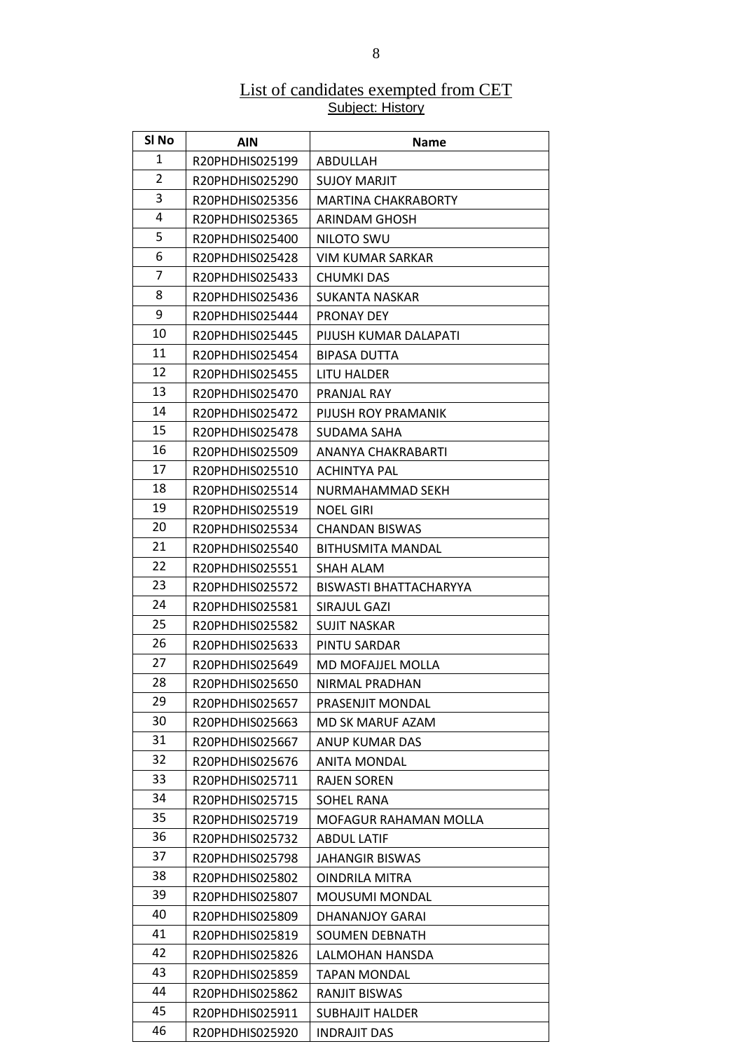#### List of candidates exempted from CET Subject: History

| SI No          | <b>AIN</b>      | <b>Name</b>                   |
|----------------|-----------------|-------------------------------|
| 1              | R20PHDHIS025199 | ABDULLAH                      |
| $\overline{2}$ | R20PHDHIS025290 | <b>SUJOY MARJIT</b>           |
| 3              | R20PHDHIS025356 | <b>MARTINA CHAKRABORTY</b>    |
| 4              | R20PHDHIS025365 | <b>ARINDAM GHOSH</b>          |
| 5              | R20PHDHIS025400 | NILOTO SWU                    |
| 6              | R20PHDHIS025428 | VIM KUMAR SARKAR              |
| 7              | R20PHDHIS025433 | CHUMKI DAS                    |
| 8              | R20PHDHIS025436 | <b>SUKANTA NASKAR</b>         |
| 9              | R20PHDHIS025444 | <b>PRONAY DEY</b>             |
| 10             | R20PHDHIS025445 | PIJUSH KUMAR DALAPATI         |
| 11             | R20PHDHIS025454 | <b>BIPASA DUTTA</b>           |
| 12             | R20PHDHIS025455 | LITU HALDER                   |
| 13             | R20PHDHIS025470 | PRANJAL RAY                   |
| 14             | R20PHDHIS025472 | PIJUSH ROY PRAMANIK           |
| 15             | R20PHDHIS025478 | SUDAMA SAHA                   |
| 16             | R20PHDHIS025509 | ANANYA CHAKRABARTI            |
| 17             | R20PHDHIS025510 | <b>ACHINTYA PAL</b>           |
| 18             | R20PHDHIS025514 | NURMAHAMMAD SEKH              |
| 19             | R20PHDHIS025519 | <b>NOEL GIRI</b>              |
| 20             | R20PHDHIS025534 | <b>CHANDAN BISWAS</b>         |
| 21             | R20PHDHIS025540 | <b>BITHUSMITA MANDAL</b>      |
| 22             | R20PHDHIS025551 | SHAH ALAM                     |
| 23             | R20PHDHIS025572 | <b>BISWASTI BHATTACHARYYA</b> |
| 24             | R20PHDHIS025581 | SIRAJUL GAZI                  |
| 25             | R20PHDHIS025582 | <b>SUJIT NASKAR</b>           |
| 26             | R20PHDHIS025633 | PINTU SARDAR                  |
| 27             | R20PHDHIS025649 | MD MOFAJJEL MOLLA             |
| 28             | R20PHDHIS025650 | NIRMAL PRADHAN                |
| 29             | R20PHDHIS025657 | PRASENJIT MONDAL              |
| 30             | R20PHDHIS025663 | MD SK MARUF AZAM              |
| 31             | R20PHDHIS025667 | ANUP KUMAR DAS                |
| 32             | R20PHDHIS025676 | ANITA MONDAL                  |
| 33             | R20PHDHIS025711 | <b>RAJEN SOREN</b>            |
| 34             | R20PHDHIS025715 | SOHEL RANA                    |
| 35             | R20PHDHIS025719 | MOFAGUR RAHAMAN MOLLA         |
| 36             | R20PHDHIS025732 | <b>ABDUL LATIF</b>            |
| 37             | R20PHDHIS025798 | <b>JAHANGIR BISWAS</b>        |
| 38             | R20PHDHIS025802 | <b>OINDRILA MITRA</b>         |
| 39             | R20PHDHIS025807 | <b>MOUSUMI MONDAL</b>         |
| 40             | R20PHDHIS025809 | DHANANJOY GARAI               |
| 41             | R20PHDHIS025819 | SOUMEN DEBNATH                |
| 42             | R20PHDHIS025826 | LALMOHAN HANSDA               |
| 43             | R20PHDHIS025859 | <b>TAPAN MONDAL</b>           |
| 44             | R20PHDHIS025862 | <b>RANJIT BISWAS</b>          |
| 45             | R20PHDHIS025911 | <b>SUBHAJIT HALDER</b>        |
| 46             | R20PHDHIS025920 | INDRAJIT DAS                  |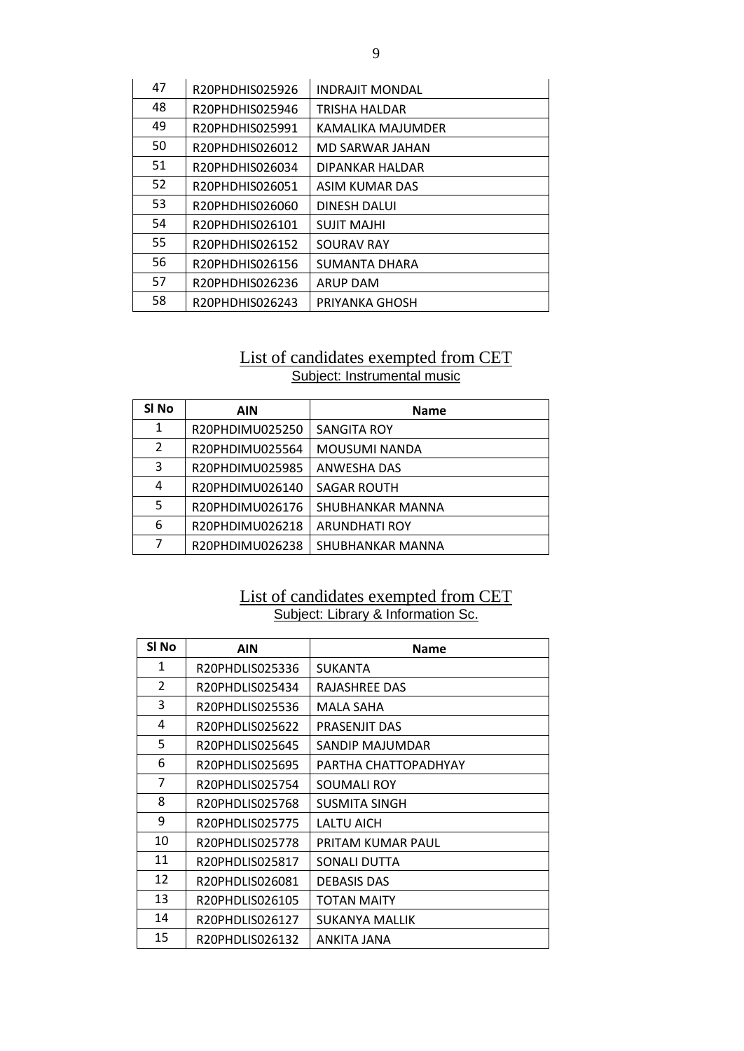| 47 | R20PHDHIS025926 | <b>INDRAJIT MONDAL</b> |
|----|-----------------|------------------------|
| 48 | R20PHDHIS025946 | TRISHA HALDAR          |
| 49 | R20PHDHIS025991 | KAMALIKA MAJUMDER      |
| 50 | R20PHDHIS026012 | MD SARWAR JAHAN        |
| 51 | R20PHDHIS026034 | DIPANKAR HALDAR        |
| 52 | R20PHDHIS026051 | ASIM KUMAR DAS         |
| 53 | R20PHDHIS026060 | DINESH DALUI           |
| 54 | R20PHDHIS026101 | <b>SUJIT MAJHI</b>     |
| 55 | R20PHDHIS026152 | <b>SOURAV RAY</b>      |
| 56 | R20PHDHIS026156 | SUMANTA DHARA          |
| 57 | R20PHDHIS026236 | <b>ARUP DAM</b>        |
| 58 | R20PHDHIS026243 | PRIYANKA GHOSH         |

#### List of candidates exempted from CET Subject: Instrumental music

| SI <sub>No</sub> | AIN             | <b>Name</b>          |
|------------------|-----------------|----------------------|
| 1                | R20PHDIMU025250 | <b>SANGITA ROY</b>   |
| 2                | R20PHDIMU025564 | <b>MOUSUMI NANDA</b> |
| 3                | R20PHDIMU025985 | ANWESHA DAS          |
| 4                | R20PHDIMU026140 | <b>SAGAR ROUTH</b>   |
| 5                | R20PHDIMU026176 | SHUBHANKAR MANNA     |
| 6                | R20PHDIMU026218 | <b>ARUNDHATI ROY</b> |
|                  | R20PHDIMU026238 | SHUBHANKAR MANNA     |

#### List of candidates exempted from CET Subject: Library & Information Sc.

| SI <sub>No</sub> | <b>AIN</b>      | <b>Name</b>          |
|------------------|-----------------|----------------------|
| 1                | R20PHDLIS025336 | <b>SUKANTA</b>       |
| $\overline{2}$   | R20PHDLIS025434 | RAJASHREE DAS        |
| 3                | R20PHDLIS025536 | MALA SAHA            |
| 4                | R20PHDLIS025622 | PRASENJIT DAS        |
| 5                | R20PHDLIS025645 | SANDIP MAJUMDAR      |
| 6                | R20PHDLIS025695 | PARTHA CHATTOPADHYAY |
| $\overline{7}$   | R20PHDLIS025754 | SOUMALI ROY          |
| 8                | R20PHDLIS025768 | SUSMITA SINGH        |
| 9                | R20PHDLIS025775 | LALTU AICH           |
| 10               | R20PHDLIS025778 | PRITAM KUMAR PAUL    |
| 11               | R20PHDLIS025817 | <b>SONALI DUTTA</b>  |
| 12               | R20PHDLIS026081 | <b>DEBASIS DAS</b>   |
| 13               | R20PHDLIS026105 | <b>TOTAN MAITY</b>   |
| 14               | R20PHDLIS026127 | SUKANYA MALLIK       |
| 15               | R20PHDLIS026132 | ANKITA JANA          |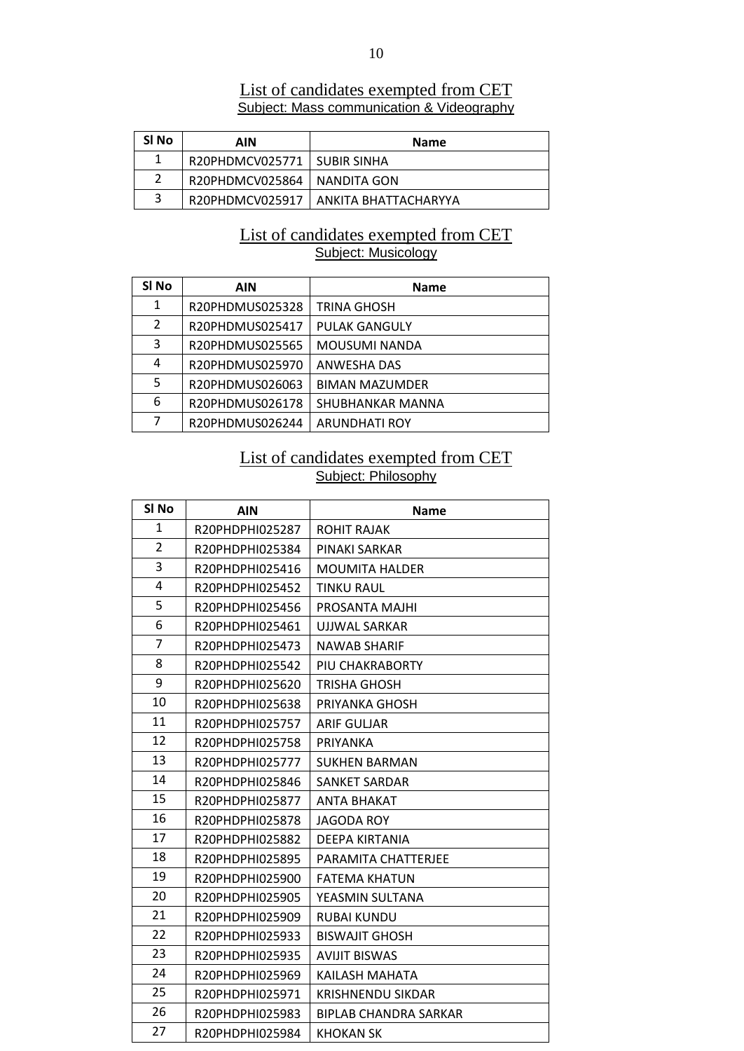| SI No | AIN                           | <b>Name</b>                            |
|-------|-------------------------------|----------------------------------------|
| 1     | R20PHDMCV025771   SUBIR SINHA |                                        |
|       | R20PHDMCV025864   NANDITA GON |                                        |
| 3     |                               | R20PHDMCV025917   ANKITA BHATTACHARYYA |

#### List of candidates exempted from CET Subject: Mass communication & Videography

#### List of candidates exempted from CET Subject: Musicology

| SI No          | <b>AIN</b>      | <b>Name</b>           |
|----------------|-----------------|-----------------------|
| 1              | R20PHDMUS025328 | <b>TRINA GHOSH</b>    |
| $\overline{2}$ | R20PHDMUS025417 | <b>PULAK GANGULY</b>  |
| 3              | R20PHDMUS025565 | <b>MOUSUMI NANDA</b>  |
| 4              | R20PHDMUS025970 | ANWESHA DAS           |
| 5              | R20PHDMUS026063 | <b>BIMAN MAZUMDER</b> |
| 6              | R20PHDMUS026178 | SHUBHANKAR MANNA      |
| 7              | R20PHDMUS026244 | <b>ARUNDHATI ROY</b>  |

#### List of candidates exempted from CET Subject: Philosophy

| SI <sub>No</sub> | <b>AIN</b>      | <b>Name</b>              |
|------------------|-----------------|--------------------------|
| 1                | R20PHDPHI025287 | <b>ROHIT RAJAK</b>       |
| $\overline{2}$   | R20PHDPHI025384 | PINAKI SARKAR            |
| 3                | R20PHDPHI025416 | <b>MOUMITA HALDER</b>    |
| 4                | R20PHDPHI025452 | <b>TINKU RAUL</b>        |
| 5                | R20PHDPHI025456 | PROSANTA MAJHI           |
| 6                | R20PHDPHI025461 | UJJWAL SARKAR            |
| $\overline{7}$   | R20PHDPHI025473 | <b>NAWAB SHARIF</b>      |
| 8                | R20PHDPHI025542 | PIU CHAKRABORTY          |
| 9                | R20PHDPHI025620 | <b>TRISHA GHOSH</b>      |
| 10               | R20PHDPHI025638 | PRIYANKA GHOSH           |
| 11               | R20PHDPHI025757 | <b>ARIF GULJAR</b>       |
| 12               | R20PHDPHI025758 | PRIYANKA                 |
| 13               | R20PHDPHI025777 | <b>SUKHEN BARMAN</b>     |
| 14               | R20PHDPHI025846 | <b>SANKET SARDAR</b>     |
| 15               | R20PHDPHI025877 | <b>ANTA BHAKAT</b>       |
| 16               | R20PHDPHI025878 | JAGODA ROY               |
| 17               | R20PHDPHI025882 | DEEPA KIRTANIA           |
| 18               | R20PHDPHI025895 | PARAMITA CHATTERJEE      |
| 19               | R20PHDPHI025900 | <b>FATEMA KHATUN</b>     |
| 20               | R20PHDPHI025905 | YEASMIN SULTANA          |
| 21               | R20PHDPHI025909 | <b>RUBAI KUNDU</b>       |
| 22               | R20PHDPHI025933 | <b>BISWAJIT GHOSH</b>    |
| 23               | R20PHDPHI025935 | <b>AVIJIT BISWAS</b>     |
| 24               | R20PHDPHI025969 | KAILASH MAHATA           |
| 25               | R20PHDPHI025971 | <b>KRISHNENDU SIKDAR</b> |
| 26               | R20PHDPHI025983 | BIPLAB CHANDRA SARKAR    |
| 27               | R20PHDPHI025984 | <b>KHOKAN SK</b>         |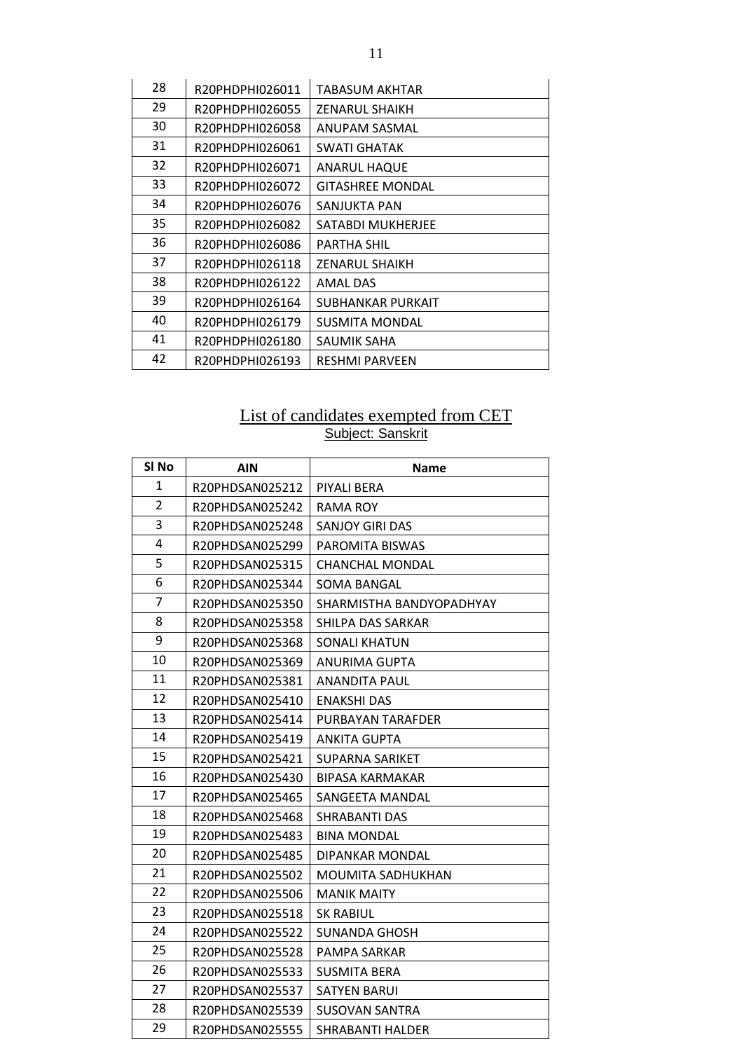| 28 | R20PHDPHI026011 | TABASUM AKHTAR          |
|----|-----------------|-------------------------|
| 29 | R20PHDPHI026055 | <b>ZENARUL SHAIKH</b>   |
| 30 | R20PHDPHI026058 | ANUPAM SASMAL           |
| 31 | R20PHDPHI026061 | <b>SWATI GHATAK</b>     |
| 32 | R20PHDPHI026071 | <b>ANARUL HAQUE</b>     |
| 33 | R20PHDPHI026072 | <b>GITASHREE MONDAL</b> |
| 34 | R20PHDPHI026076 | SANJUKTA PAN            |
| 35 | R20PHDPHI026082 | SATABDI MUKHERJEE       |
| 36 | R20PHDPHI026086 | <b>PARTHA SHIL</b>      |
| 37 | R20PHDPHI026118 | <b>ZENARUL SHAIKH</b>   |
| 38 | R20PHDPHI026122 | <b>AMAL DAS</b>         |
| 39 | R20PHDPHI026164 | SUBHANKAR PURKAIT       |
| 40 | R20PHDPHI026179 | <b>SUSMITA MONDAL</b>   |
| 41 | R20PHDPHI026180 | SAUMIK SAHA             |
| 42 | R20PHDPHI026193 | <b>RESHMI PARVEEN</b>   |

#### List of candidates exempted from CET Subject: Sanskrit

| SI No          | <b>AIN</b>      | <b>Name</b>              |
|----------------|-----------------|--------------------------|
| 1              | R20PHDSAN025212 | PIYALI BERA              |
| $\overline{2}$ | R20PHDSAN025242 | RAMA ROY                 |
| 3              | R20PHDSAN025248 | <b>SANJOY GIRI DAS</b>   |
| 4              | R20PHDSAN025299 | PAROMITA BISWAS          |
| 5              | R20PHDSAN025315 | <b>CHANCHAL MONDAL</b>   |
| 6              | R20PHDSAN025344 | SOMA BANGAL              |
| $\overline{7}$ | R20PHDSAN025350 | SHARMISTHA BANDYOPADHYAY |
| 8              | R20PHDSAN025358 | SHILPA DAS SARKAR        |
| 9              | R20PHDSAN025368 | SONALI KHATUN            |
| 10             | R20PHDSAN025369 | <b>ANURIMA GUPTA</b>     |
| 11             | R20PHDSAN025381 | <b>ANANDITA PAUL</b>     |
| 12             | R20PHDSAN025410 | <b>ENAKSHI DAS</b>       |
| 13             | R20PHDSAN025414 | PURBAYAN TARAFDER        |
| 14             | R20PHDSAN025419 | <b>ANKITA GUPTA</b>      |
| 15             | R20PHDSAN025421 | <b>SUPARNA SARIKET</b>   |
| 16             | R20PHDSAN025430 | <b>BIPASA KARMAKAR</b>   |
| 17             | R20PHDSAN025465 | SANGEETA MANDAL          |
| 18             | R20PHDSAN025468 | <b>SHRABANTI DAS</b>     |
| 19             | R20PHDSAN025483 | <b>BINA MONDAL</b>       |
| 20             | R20PHDSAN025485 | DIPANKAR MONDAL          |
| 21             | R20PHDSAN025502 | MOUMITA SADHUKHAN        |
| 22             | R20PHDSAN025506 | <b>MANIK MAITY</b>       |
| 23             | R20PHDSAN025518 | <b>SK RABIUL</b>         |
| 24             | R20PHDSAN025522 | SUNANDA GHOSH            |
| 25             | R20PHDSAN025528 | PAMPA SARKAR             |
| 26             | R20PHDSAN025533 | SUSMITA BERA             |
| 27             | R20PHDSAN025537 | <b>SATYEN BARUI</b>      |
| 28             | R20PHDSAN025539 | SUSOVAN SANTRA           |
| 29             | R20PHDSAN025555 | <b>SHRABANTI HALDER</b>  |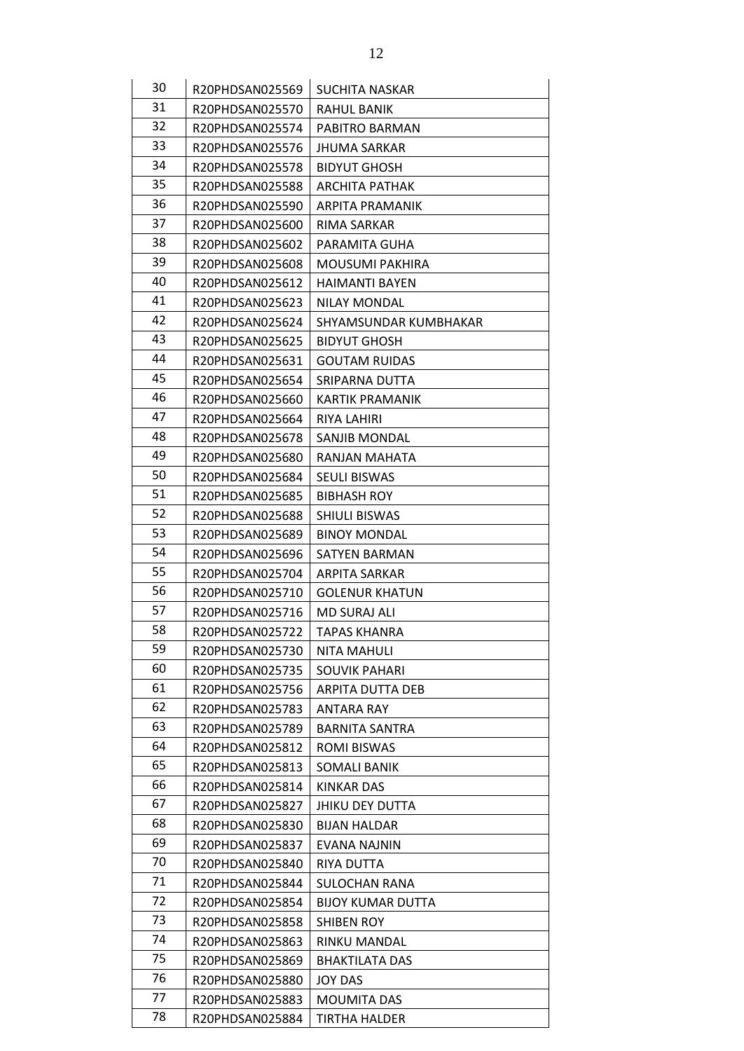| 30 | R20PHDSAN025569                    | <b>SUCHITA NASKAR</b>    |
|----|------------------------------------|--------------------------|
| 31 |                                    | <b>RAHUL BANIK</b>       |
| 32 | R20PHDSAN025570<br>R20PHDSAN025574 | PABITRO BARMAN           |
| 33 |                                    |                          |
| 34 | R20PHDSAN025576                    | <b>JHUMA SARKAR</b>      |
| 35 | R20PHDSAN025578                    | <b>BIDYUT GHOSH</b>      |
|    | R20PHDSAN025588                    | <b>ARCHITA PATHAK</b>    |
| 36 | R20PHDSAN025590                    | ARPITA PRAMANIK          |
| 37 | R20PHDSAN025600                    | RIMA SARKAR              |
| 38 | R20PHDSAN025602                    | PARAMITA GUHA            |
| 39 | R20PHDSAN025608                    | MOUSUMI PAKHIRA          |
| 40 | R20PHDSAN025612                    | <b>HAIMANTI BAYEN</b>    |
| 41 | R20PHDSAN025623                    | <b>NILAY MONDAL</b>      |
| 42 | R20PHDSAN025624                    | SHYAMSUNDAR KUMBHAKAR    |
| 43 | R20PHDSAN025625                    | <b>BIDYUT GHOSH</b>      |
| 44 | R20PHDSAN025631                    | <b>GOUTAM RUIDAS</b>     |
| 45 | R20PHDSAN025654                    | SRIPARNA DUTTA           |
| 46 | R20PHDSAN025660                    | KARTIK PRAMANIK          |
| 47 | R20PHDSAN025664                    | <b>RIYA LAHIRI</b>       |
| 48 | R20PHDSAN025678                    | <b>SANJIB MONDAL</b>     |
| 49 | R20PHDSAN025680                    | RANJAN MAHATA            |
| 50 | R20PHDSAN025684                    | <b>SEULI BISWAS</b>      |
| 51 | R20PHDSAN025685                    | <b>BIBHASH ROY</b>       |
| 52 | R20PHDSAN025688                    | SHIULI BISWAS            |
| 53 | R20PHDSAN025689                    | <b>BINOY MONDAL</b>      |
| 54 | R20PHDSAN025696                    | SATYEN BARMAN            |
| 55 | R20PHDSAN025704                    | ARPITA SARKAR            |
| 56 | R20PHDSAN025710                    | <b>GOLENUR KHATUN</b>    |
| 57 | R20PHDSAN025716                    | <b>MD SURAJ ALI</b>      |
| 58 | R20PHDSAN025722                    | TAPAS KHANRA             |
| 59 | R20PHDSAN025730                    | <b>NITA MAHULI</b>       |
| 60 | R20PHDSAN025735                    | <b>SOUVIK PAHARI</b>     |
| 61 | R20PHDSAN025756                    | <b>ARPITA DUTTA DEB</b>  |
| 62 | R20PHDSAN025783                    | ANTARA RAY               |
| 63 | R20PHDSAN025789                    | <b>BARNITA SANTRA</b>    |
| 64 | R20PHDSAN025812                    | <b>ROMI BISWAS</b>       |
| 65 | R20PHDSAN025813                    | <b>SOMALI BANIK</b>      |
| 66 | R20PHDSAN025814                    | KINKAR DAS               |
| 67 | R20PHDSAN025827                    | <b>JHIKU DEY DUTTA</b>   |
| 68 | R20PHDSAN025830                    | <b>BIJAN HALDAR</b>      |
| 69 | R20PHDSAN025837                    | EVANA NAJNIN             |
| 70 | R20PHDSAN025840                    | RIYA DUTTA               |
| 71 | R20PHDSAN025844                    | <b>SULOCHAN RANA</b>     |
| 72 | R20PHDSAN025854                    | <b>BIJOY KUMAR DUTTA</b> |
| 73 | R20PHDSAN025858                    | <b>SHIBEN ROY</b>        |
| 74 | R20PHDSAN025863                    | RINKU MANDAL             |
| 75 | R20PHDSAN025869                    | <b>BHAKTILATA DAS</b>    |
| 76 | R20PHDSAN025880                    | <b>JOY DAS</b>           |
| 77 | R20PHDSAN025883                    | <b>MOUMITA DAS</b>       |
| 78 | R20PHDSAN025884                    | TIRTHA HALDER            |
|    |                                    |                          |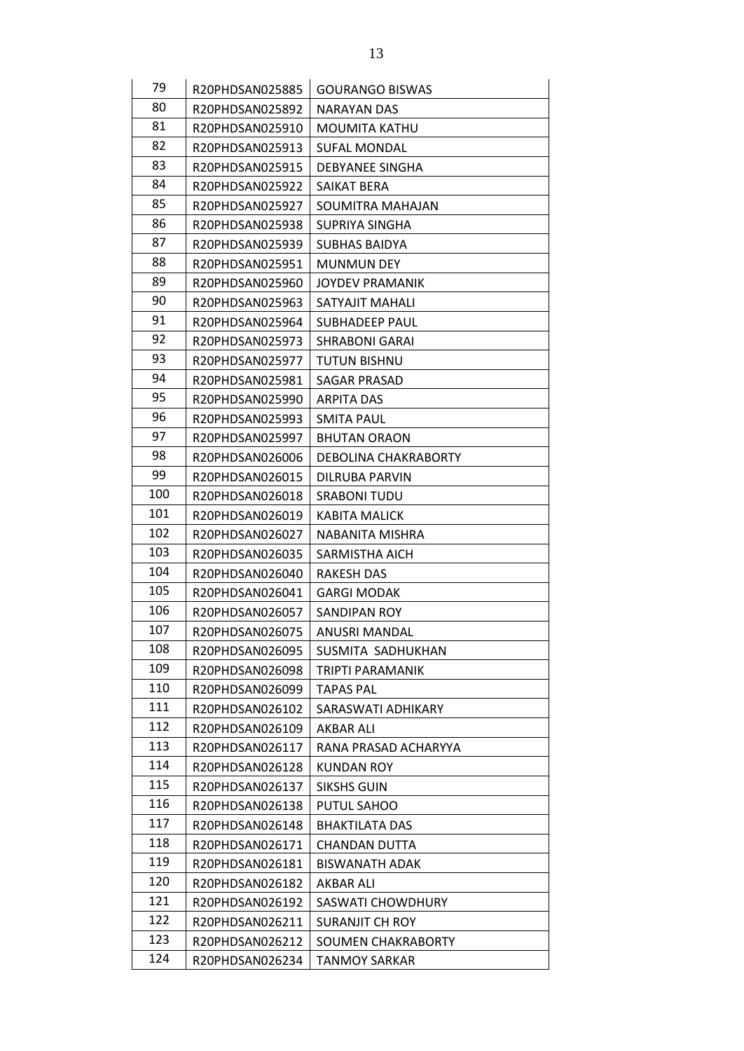| 79  | R20PHDSAN025885 | <b>GOURANGO BISWAS</b> |
|-----|-----------------|------------------------|
| 80  | R20PHDSAN025892 | <b>NARAYAN DAS</b>     |
| 81  | R20PHDSAN025910 | <b>MOUMITA KATHU</b>   |
| 82  | R20PHDSAN025913 | <b>SUFAL MONDAL</b>    |
| 83  | R20PHDSAN025915 | DEBYANEE SINGHA        |
| 84  | R20PHDSAN025922 | SAIKAT BERA            |
| 85  | R20PHDSAN025927 | SOUMITRA MAHAJAN       |
| 86  | R20PHDSAN025938 | SUPRIYA SINGHA         |
| 87  | R20PHDSAN025939 | <b>SUBHAS BAIDYA</b>   |
| 88  | R20PHDSAN025951 | <b>MUNMUN DEY</b>      |
| 89  | R20PHDSAN025960 | <b>JOYDEV PRAMANIK</b> |
| 90  | R20PHDSAN025963 | SATYAJIT MAHALI        |
| 91  | R20PHDSAN025964 | SUBHADEEP PAUL         |
| 92  | R20PHDSAN025973 | <b>SHRABONI GARAI</b>  |
| 93  | R20PHDSAN025977 | <b>TUTUN BISHNU</b>    |
| 94  | R20PHDSAN025981 | <b>SAGAR PRASAD</b>    |
| 95  | R20PHDSAN025990 | <b>ARPITA DAS</b>      |
| 96  | R20PHDSAN025993 | <b>SMITA PAUL</b>      |
| 97  | R20PHDSAN025997 | <b>BHUTAN ORAON</b>    |
| 98  | R20PHDSAN026006 | DEBOLINA CHAKRABORTY   |
| 99  | R20PHDSAN026015 | DILRUBA PARVIN         |
| 100 |                 |                        |
| 101 | R20PHDSAN026018 | <b>SRABONI TUDU</b>    |
| 102 | R20PHDSAN026019 | <b>KABITA MALICK</b>   |
|     | R20PHDSAN026027 | NABANITA MISHRA        |
| 103 | R20PHDSAN026035 | SARMISTHA AICH         |
| 104 | R20PHDSAN026040 | <b>RAKESH DAS</b>      |
| 105 | R20PHDSAN026041 | <b>GARGI MODAK</b>     |
| 106 | R20PHDSAN026057 | <b>SANDIPAN ROY</b>    |
| 107 | R20PHDSAN026075 | ANUSRI MANDAL          |
| 108 | R20PHDSAN026095 | SUSMITA SADHUKHAN      |
| 109 | R20PHDSAN026098 | TRIPTI PARAMANIK       |
| 110 | R20PHDSAN026099 | <b>TAPAS PAL</b>       |
| 111 | R20PHDSAN026102 | SARASWATI ADHIKARY     |
| 112 | R20PHDSAN026109 | AKBAR ALI              |
| 113 | R20PHDSAN026117 | RANA PRASAD ACHARYYA   |
| 114 | R20PHDSAN026128 | <b>KUNDAN ROY</b>      |
| 115 | R20PHDSAN026137 | <b>SIKSHS GUIN</b>     |
| 116 | R20PHDSAN026138 | PUTUL SAHOO            |
| 117 | R20PHDSAN026148 | <b>BHAKTILATA DAS</b>  |
| 118 | R20PHDSAN026171 | <b>CHANDAN DUTTA</b>   |
| 119 | R20PHDSAN026181 | <b>BISWANATH ADAK</b>  |
| 120 | R20PHDSAN026182 | AKBAR ALI              |
| 121 | R20PHDSAN026192 | SASWATI CHOWDHURY      |
| 122 | R20PHDSAN026211 | SURANJIT CH ROY        |
| 123 | R20PHDSAN026212 | SOUMEN CHAKRABORTY     |
| 124 | R20PHDSAN026234 | <b>TANMOY SARKAR</b>   |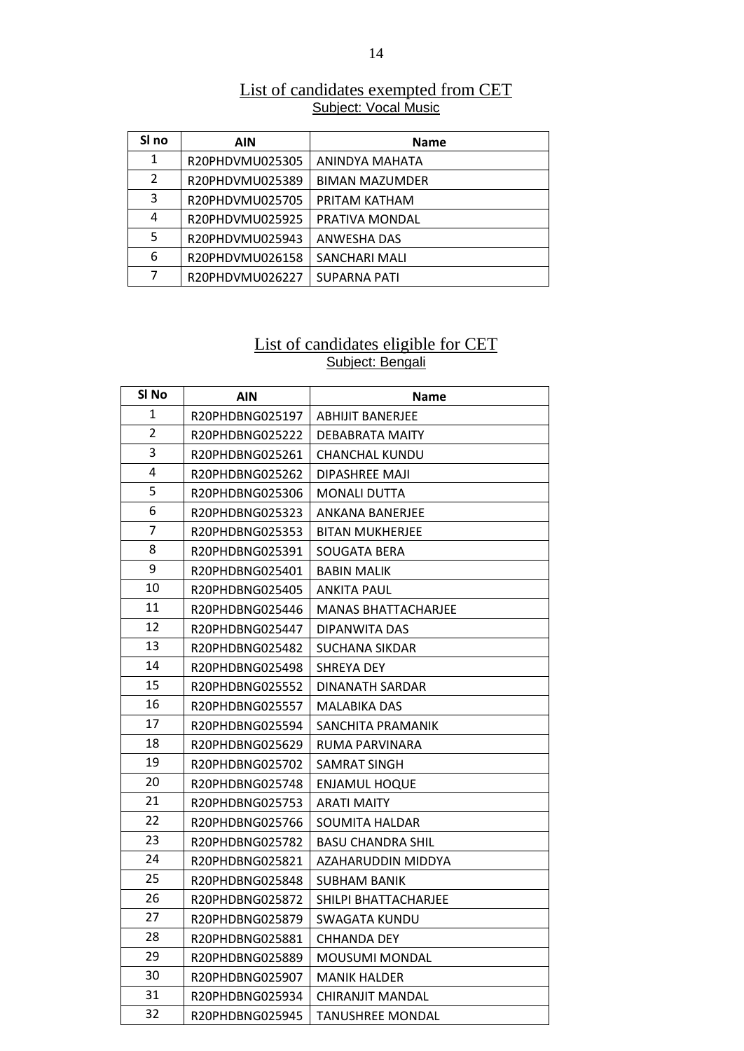| List of candidates exempted from CET |  |
|--------------------------------------|--|
| <b>Subject: Vocal Music</b>          |  |

| SI no          | AIN             | <b>Name</b>           |
|----------------|-----------------|-----------------------|
| 1              | R20PHDVMU025305 | ANINDYA MAHATA        |
| $\overline{2}$ | R20PHDVMU025389 | <b>BIMAN MAZUMDER</b> |
| 3              | R20PHDVMU025705 | PRITAM KATHAM         |
| 4              | R20PHDVMU025925 | PRATIVA MONDAL        |
| 5              | R20PHDVMU025943 | ANWESHA DAS           |
| 6              | R20PHDVMU026158 | SANCHARI MALI         |
| 7              | R20PHDVMU026227 | <b>SUPARNA PATI</b>   |

#### List of candidates eligible for CET Subject: Bengali

| SI No          | <b>AIN</b>      | Name                     |
|----------------|-----------------|--------------------------|
| 1              | R20PHDBNG025197 | <b>ABHIJIT BANERJEE</b>  |
| $\overline{2}$ | R20PHDBNG025222 | DEBABRATA MAITY          |
| 3              | R20PHDBNG025261 | CHANCHAL KUNDU           |
| 4              | R20PHDBNG025262 | DIPASHREE MAJI           |
| 5              | R20PHDBNG025306 | <b>MONALI DUTTA</b>      |
| 6              | R20PHDBNG025323 | <b>ANKANA BANERJEE</b>   |
| 7              | R20PHDBNG025353 | BITAN MUKHERJEE          |
| 8              | R20PHDBNG025391 | SOUGATA BERA             |
| 9              | R20PHDBNG025401 | <b>BABIN MALIK</b>       |
| 10             | R20PHDBNG025405 | ANKITA PAUL              |
| 11             | R20PHDBNG025446 | MANAS BHATTACHARJEE      |
| 12             | R20PHDBNG025447 | DIPANWITA DAS            |
| 13             | R20PHDBNG025482 | SUCHANA SIKDAR           |
| 14             | R20PHDBNG025498 | <b>SHREYA DEY</b>        |
| 15             | R20PHDBNG025552 | DINANATH SARDAR          |
| 16             | R20PHDBNG025557 | MALABIKA DAS             |
| 17             | R20PHDBNG025594 | SANCHITA PRAMANIK        |
| 18             | R20PHDBNG025629 | RUMA PARVINARA           |
| 19             | R20PHDBNG025702 | SAMRAT SINGH             |
| 20             | R20PHDBNG025748 | <b>ENJAMUL HOQUE</b>     |
| 21             | R20PHDBNG025753 | <b>ARATI MAITY</b>       |
| 22             | R20PHDBNG025766 | SOUMITA HALDAR           |
| 23             | R20PHDBNG025782 | <b>BASU CHANDRA SHIL</b> |
| 24             | R20PHDBNG025821 | AZAHARUDDIN MIDDYA       |
| 25             | R20PHDBNG025848 | <b>SUBHAM BANIK</b>      |
| 26             | R20PHDBNG025872 | SHILPI BHATTACHARJEE     |
| 27             | R20PHDBNG025879 | SWAGATA KUNDU            |
| 28             | R20PHDBNG025881 | <b>CHHANDA DEY</b>       |
| 29             | R20PHDBNG025889 | <b>MOUSUMI MONDAL</b>    |
| 30             | R20PHDBNG025907 | MANIK HALDER             |
| 31             | R20PHDBNG025934 | CHIRANJIT MANDAL         |
| 32             | R20PHDBNG025945 | <b>TANUSHREE MONDAL</b>  |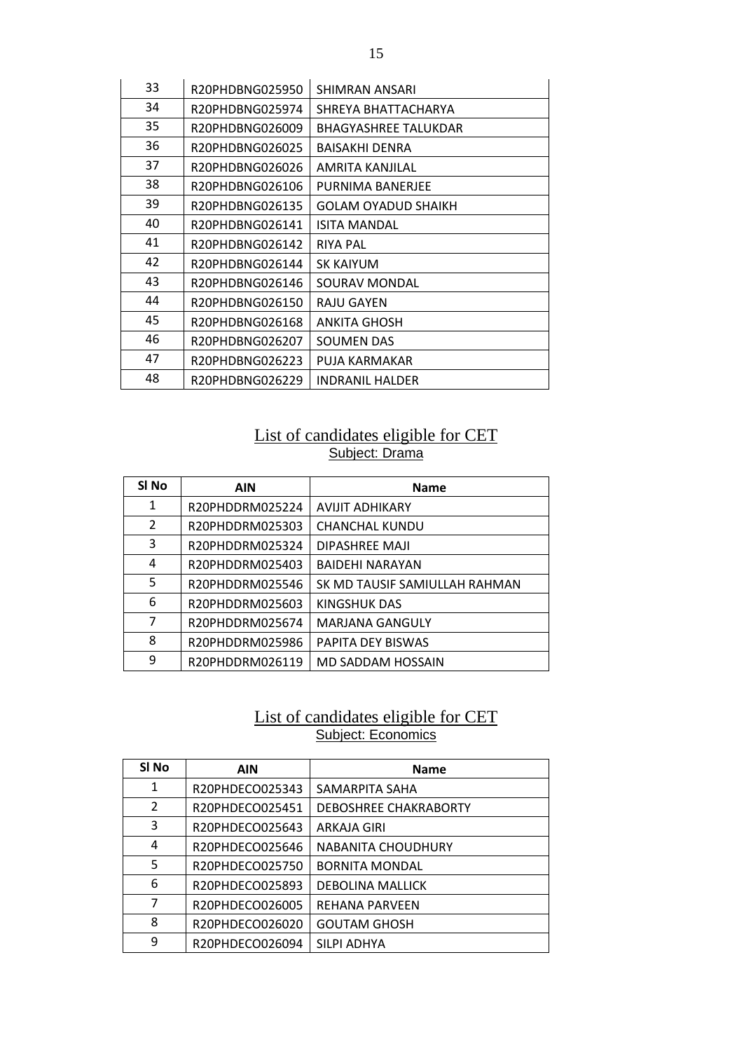| 33 | R20PHDBNG025950 | <b>SHIMRAN ANSARI</b>       |
|----|-----------------|-----------------------------|
| 34 | R20PHDBNG025974 | SHREYA BHATTACHARYA         |
| 35 | R20PHDBNG026009 | <b>BHAGYASHREE TALUKDAR</b> |
| 36 | R20PHDBNG026025 | <b>BAISAKHI DENRA</b>       |
| 37 | R20PHDBNG026026 | AMRITA KANJILAL             |
| 38 | R20PHDBNG026106 | PURNIMA BANERJEE            |
| 39 | R20PHDBNG026135 | GOLAM OYADUD SHAIKH         |
| 40 | R20PHDBNG026141 | <b>ISITA MANDAL</b>         |
| 41 | R20PHDBNG026142 | <b>RIYA PAL</b>             |
| 42 | R20PHDBNG026144 | <b>SK KAIYUM</b>            |
| 43 | R20PHDBNG026146 | SOURAV MONDAL               |
| 44 | R20PHDBNG026150 | RAJU GAYEN                  |
| 45 | R20PHDBNG026168 | ANKITA GHOSH                |
| 46 | R20PHDBNG026207 | <b>SOUMEN DAS</b>           |
| 47 | R20PHDBNG026223 | PUJA KARMAKAR               |
| 48 | R20PHDBNG026229 | <b>INDRANIL HALDER</b>      |

### List of candidates eligible for CET Subject: Drama

| SI <sub>No</sub> | <b>AIN</b>      | <b>Name</b>                   |
|------------------|-----------------|-------------------------------|
| 1                | R20PHDDRM025224 | <b>AVIJIT ADHIKARY</b>        |
| 2                | R20PHDDRM025303 | <b>CHANCHAL KUNDU</b>         |
| 3                | R20PHDDRM025324 | DIPASHREE MAJI                |
| 4                | R20PHDDRM025403 | <b>BAIDEHI NARAYAN</b>        |
| 5                | R20PHDDRM025546 | SK MD TAUSIF SAMIULLAH RAHMAN |
| 6                | R20PHDDRM025603 | KINGSHUK DAS                  |
| 7                | R20PHDDRM025674 | MARJANA GANGULY               |
| 8                | R20PHDDRM025986 | <b>PAPITA DEY BISWAS</b>      |
| 9                | R20PHDDRM026119 | MD SADDAM HOSSAIN             |

#### List of candidates eligible for CET Subject: Economics

| SI No         | <b>AIN</b>      | <b>Name</b>               |
|---------------|-----------------|---------------------------|
| 1             | R20PHDECO025343 | SAMARPITA SAHA            |
| $\mathcal{L}$ | R20PHDECO025451 | DEBOSHREE CHAKRABORTY     |
| 3             | R20PHDECO025643 | ARKAJA GIRI               |
| 4             | R20PHDECO025646 | <b>NABANITA CHOUDHURY</b> |
| 5             | R20PHDECO025750 | <b>BORNITA MONDAL</b>     |
| 6             | R20PHDECO025893 | <b>DEBOLINA MALLICK</b>   |
| 7             | R20PHDECO026005 | REHANA PARVEEN            |
| 8             | R20PHDECO026020 | <b>GOUTAM GHOSH</b>       |
| q             | R20PHDECO026094 | SILPI ADHYA               |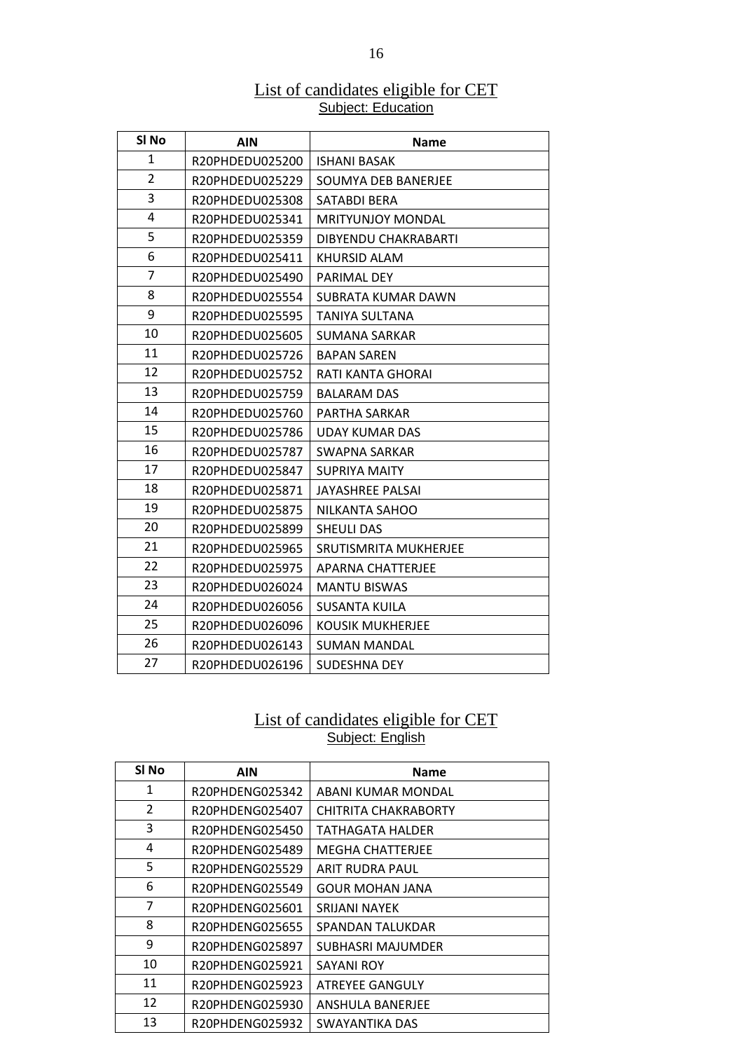#### List of candidates eligible for CET **Subject: Education**

| SI No          | <b>AIN</b>      | <b>Name</b>              |
|----------------|-----------------|--------------------------|
| 1              | R20PHDEDU025200 | <b>ISHANI BASAK</b>      |
| $\overline{2}$ | R20PHDEDU025229 | SOUMYA DEB BANERJEE      |
| 3              | R20PHDEDU025308 | SATABDI BERA             |
| 4              | R20PHDEDU025341 | <b>MRITYUNIOY MONDAL</b> |
| 5              | R20PHDEDU025359 | DIBYENDU CHAKRABARTI     |
| 6              | R20PHDEDU025411 | <b>KHURSID ALAM</b>      |
| $\overline{7}$ | R20PHDEDU025490 | PARIMAL DEY              |
| 8              | R20PHDEDU025554 | SUBRATA KUMAR DAWN       |
| 9              | R20PHDEDU025595 | <b>TANIYA SULTANA</b>    |
| 10             | R20PHDEDU025605 | <b>SUMANA SARKAR</b>     |
| 11             | R20PHDEDU025726 | <b>BAPAN SAREN</b>       |
| 12             | R20PHDEDU025752 | RATI KANTA GHORAI        |
| 13             | R20PHDEDU025759 | <b>BALARAM DAS</b>       |
| 14             | R20PHDEDU025760 | PARTHA SARKAR            |
| 15             | R20PHDEDU025786 | <b>UDAY KUMAR DAS</b>    |
| 16             | R20PHDEDU025787 | SWAPNA SARKAR            |
| 17             | R20PHDEDU025847 | <b>SUPRIYA MAITY</b>     |
| 18             | R20PHDEDU025871 | <b>JAYASHREE PALSAI</b>  |
| 19             | R20PHDEDU025875 | NILKANTA SAHOO           |
| 20             | R20PHDEDU025899 | <b>SHEULI DAS</b>        |
| 21             | R20PHDEDU025965 | SRUTISMRITA MUKHERJEE    |
| 22             | R20PHDEDU025975 | <b>APARNA CHATTERJEE</b> |
| 23             | R20PHDEDU026024 | <b>MANTU BISWAS</b>      |
| 24             | R20PHDEDU026056 | SUSANTA KUILA            |
| 25             | R20PHDEDU026096 | <b>KOUSIK MUKHERJEE</b>  |
| 26             | R20PHDEDU026143 | <b>SUMAN MANDAL</b>      |
| 27             | R20PHDEDU026196 | SUDESHNA DEY             |

#### List of candidates eligible for CET Subject: English

| SI <sub>No</sub> | <b>AIN</b>      | <b>Name</b>             |
|------------------|-----------------|-------------------------|
| 1                | R20PHDENG025342 | ABANI KUMAR MONDAL      |
| 2                | R20PHDENG025407 | CHITRITA CHAKRABORTY    |
| 3                | R20PHDENG025450 | TATHAGATA HALDER        |
| 4                | R20PHDENG025489 | <b>MEGHA CHATTERJEE</b> |
| 5                | R20PHDENG025529 | ARIT RUDRA PAUL         |
| 6                | R20PHDENG025549 | <b>GOUR MOHAN JANA</b>  |
| $\overline{7}$   | R20PHDENG025601 | SRIJANI NAYEK           |
| 8                | R20PHDENG025655 | SPANDAN TALUKDAR        |
| 9                | R20PHDENG025897 | SUBHASRI MAJUMDER       |
| 10               | R20PHDENG025921 | SAYANI ROY              |
| 11               | R20PHDENG025923 | <b>ATREYEE GANGULY</b>  |
| 12               | R20PHDENG025930 | ANSHULA BANERJEE        |
| 13               | R20PHDENG025932 | SWAYANTIKA DAS          |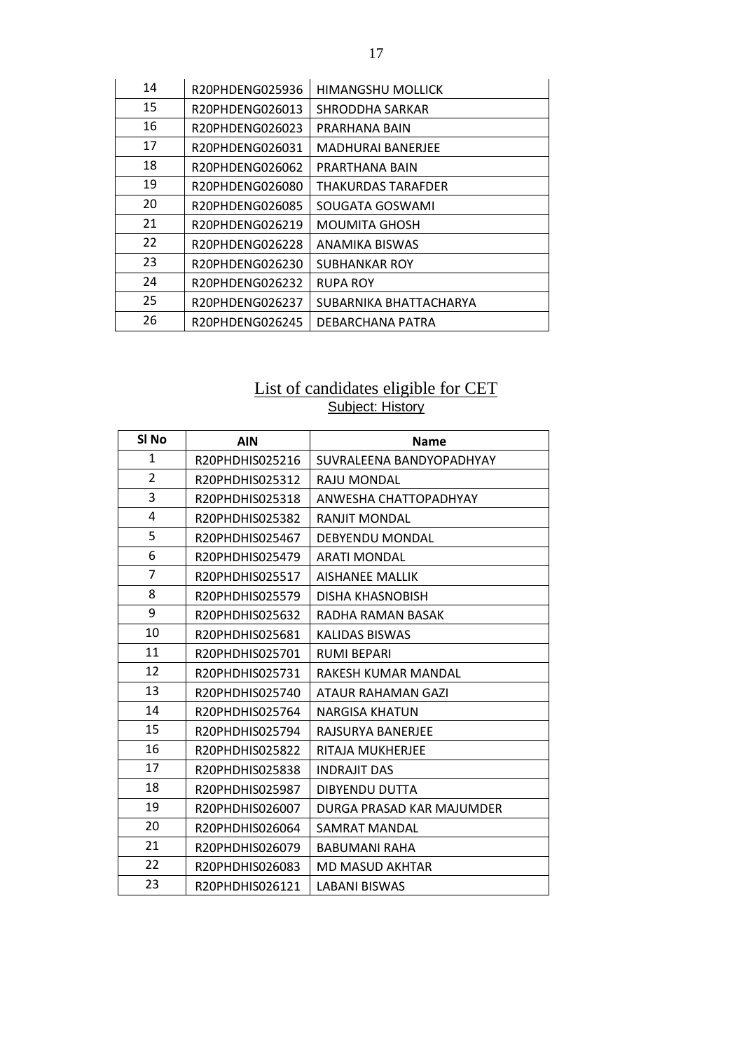| 14 | R20PHDENG025936 | <b>HIMANGSHU MOLLICK</b> |
|----|-----------------|--------------------------|
| 15 | R20PHDENG026013 | SHRODDHA SARKAR          |
| 16 | R20PHDENG026023 | PRARHANA BAIN            |
| 17 | R20PHDENG026031 | <b>MADHURAI BANERJEE</b> |
| 18 | R20PHDENG026062 | PRARTHANA BAIN           |
| 19 | R20PHDENG026080 | THAKURDAS TARAFDER       |
| 20 | R20PHDENG026085 | SOUGATA GOSWAMI          |
| 21 | R20PHDENG026219 | <b>MOUMITA GHOSH</b>     |
| 22 | R20PHDENG026228 | ANAMIKA BISWAS           |
| 23 | R20PHDENG026230 | <b>SUBHANKAR ROY</b>     |
| 24 | R20PHDENG026232 | <b>RUPA ROY</b>          |
| 25 | R20PHDENG026237 | SUBARNIKA BHATTACHARYA   |
| 26 | R20PHDENG026245 | DEBARCHANA PATRA         |

#### List of candidates eligible for CET Subject: History

| SI <sub>No</sub> | <b>AIN</b>      | <b>Name</b>               |
|------------------|-----------------|---------------------------|
| $\mathbf{1}$     | R20PHDHIS025216 | SUVRALEENA BANDYOPADHYAY  |
| $\overline{2}$   | R20PHDHIS025312 | RAIU MONDAL               |
| 3                | R20PHDHIS025318 | ANWESHA CHATTOPADHYAY     |
| 4                | R20PHDHIS025382 | RANJIT MONDAL             |
| 5                | R20PHDHIS025467 | DEBYENDU MONDAL           |
| 6                | R20PHDHIS025479 | <b>ARATI MONDAL</b>       |
| 7                | R20PHDHIS025517 | <b>AISHANEE MALLIK</b>    |
| 8                | R20PHDHIS025579 | <b>DISHA KHASNOBISH</b>   |
| 9                | R20PHDHIS025632 | RADHA RAMAN BASAK         |
| 10               | R20PHDHIS025681 | KALIDAS BISWAS            |
| 11               | R20PHDHIS025701 | <b>RUMI BEPARI</b>        |
| 12               | R20PHDHIS025731 | RAKESH KUMAR MANDAL       |
| 13               | R20PHDHIS025740 | ATAUR RAHAMAN GAZI        |
| 14               | R20PHDHIS025764 | <b>NARGISA KHATUN</b>     |
| 15               | R20PHDHIS025794 | RAJSURYA BANERJEE         |
| 16               | R20PHDHIS025822 | RITAJA MUKHERJEE          |
| 17               | R20PHDHIS025838 | <b>INDRAJIT DAS</b>       |
| 18               | R20PHDHIS025987 | <b>DIBYENDU DUTTA</b>     |
| 19               | R20PHDHIS026007 | DURGA PRASAD KAR MAJUMDER |
| 20               | R20PHDHIS026064 | SAMRAT MANDAL             |
| 21               | R20PHDHIS026079 | <b>BABUMANI RAHA</b>      |
| 22               | R20PHDHIS026083 | MD MASUD AKHTAR           |
| 23               | R20PHDHIS026121 | <b>LABANI BISWAS</b>      |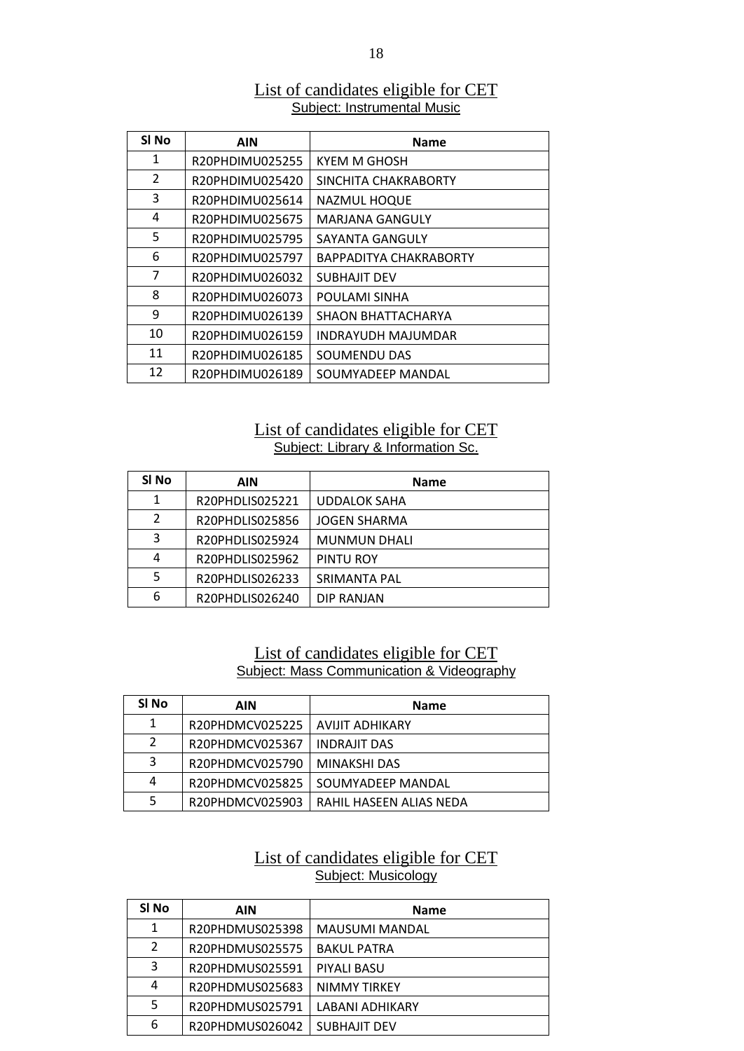### List of candidates eligible for CET Subject: Instrumental Music

| SI <sub>No</sub> | <b>AIN</b>      | <b>Name</b>               |
|------------------|-----------------|---------------------------|
| 1                | R20PHDIMU025255 | KYEM M GHOSH              |
| $\overline{2}$   | R20PHDIMU025420 | SINCHITA CHAKRABORTY      |
| 3                | R20PHDIMU025614 | <b>NAZMUL HOQUE</b>       |
| 4                | R20PHDIMU025675 | <b>MARJANA GANGULY</b>    |
| 5                | R20PHDIMU025795 | SAYANTA GANGULY           |
| 6                | R20PHDIMU025797 | BAPPADITYA CHAKRABORTY    |
| 7                | R20PHDIMU026032 | <b>SUBHAJIT DEV</b>       |
| 8                | R20PHDIMU026073 | POULAMI SINHA             |
| 9                | R20PHDIMU026139 | SHAON BHATTACHARYA        |
| 10               | R20PHDIMU026159 | <b>INDRAYUDH MAJUMDAR</b> |
| 11               | R20PHDIMU026185 | <b>SOUMENDU DAS</b>       |
| 12               | R20PHDIMU026189 | SOUMYADEEP MANDAL         |

### List of candidates eligible for CET Subject: Library & Information Sc.

| SI No         | AIN             | <b>Name</b>         |
|---------------|-----------------|---------------------|
|               | R20PHDLIS025221 | <b>UDDALOK SAHA</b> |
| $\mathcal{P}$ | R20PHDLIS025856 | <b>JOGEN SHARMA</b> |
| 3             | R20PHDLIS025924 | <b>MUNMUN DHALI</b> |
| 4             | R20PHDLIS025962 | PINTU ROY           |
| 5             | R20PHDLIS026233 | <b>SRIMANTA PAL</b> |
| 6             | R20PHDLIS026240 | DIP RANJAN          |

## List of candidates eligible for CET Subject: Mass Communication & Videography

| SI No | AIN             | <b>Name</b>             |
|-------|-----------------|-------------------------|
| 1     | R20PHDMCV025225 | AVIJIT ADHIKARY         |
|       | R20PHDMCV025367 | <b>INDRAJIT DAS</b>     |
| 3     | R20PHDMCV025790 | MINAKSHI DAS            |
| 4     | R20PHDMCV025825 | SOUMYADEEP MANDAL       |
|       | R20PHDMCV025903 | RAHIL HASEEN ALIAS NEDA |

# List of candidates eligible for CET Subject: Musicology

| SI No          | AIN             | <b>Name</b>           |
|----------------|-----------------|-----------------------|
| 1              | R20PHDMUS025398 | <b>MAUSUMI MANDAL</b> |
| $\overline{2}$ | R20PHDMUS025575 | <b>BAKUL PATRA</b>    |
| 3              | R20PHDMUS025591 | PIYALI BASU           |
| 4              | R20PHDMUS025683 | NIMMY TIRKEY          |
| 5              | R20PHDMUS025791 | LABANI ADHIKARY       |
| 6              | R20PHDMUS026042 | <b>SUBHAJIT DEV</b>   |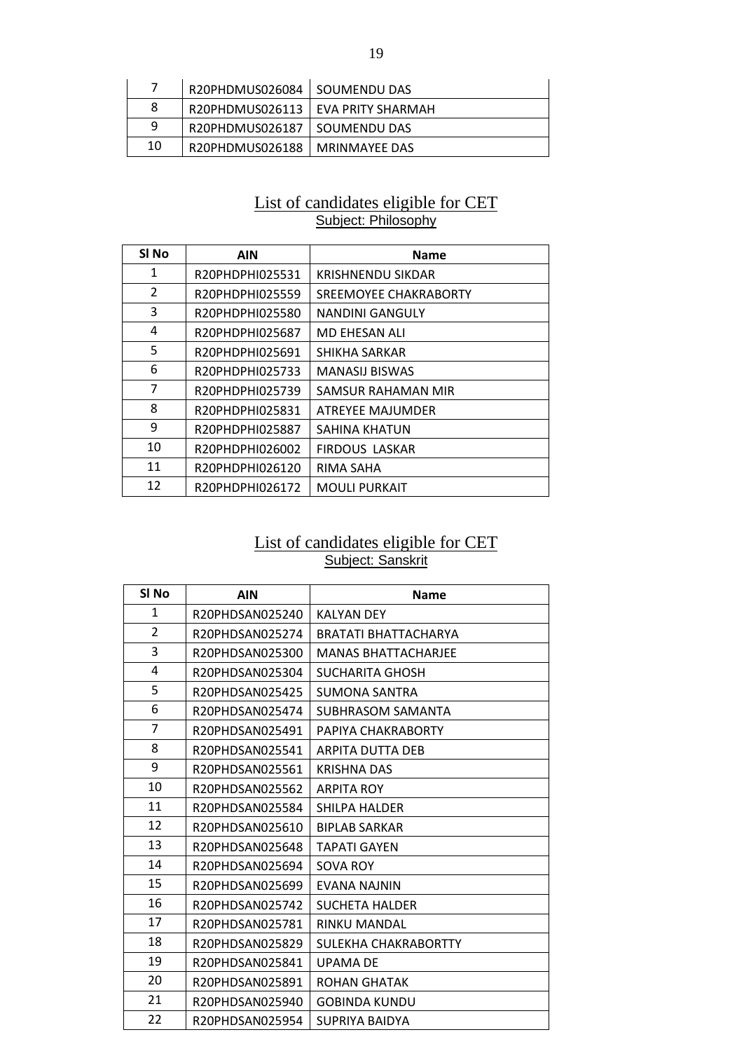|    | R20PHDMUS026084   SOUMENDU DAS  |                                     |
|----|---------------------------------|-------------------------------------|
| 8  |                                 | R20PHDMUS026113   EVA PRITY SHARMAH |
| q  | R20PHDMUS026187   SOUMENDU DAS  |                                     |
| 10 | R20PHDMUS026188   MRINMAYEE DAS |                                     |

#### List of candidates eligible for CET Subject: Philosophy

| SI <sub>No</sub> | <b>AIN</b>      | <b>Name</b>              |
|------------------|-----------------|--------------------------|
| 1                | R20PHDPHI025531 | <b>KRISHNENDU SIKDAR</b> |
| $\overline{2}$   | R20PHDPHI025559 | SREEMOYEE CHAKRABORTY    |
| 3                | R20PHDPHI025580 | <b>NANDINI GANGULY</b>   |
| 4                | R20PHDPHI025687 | <b>MD EHESAN ALI</b>     |
| 5                | R20PHDPHI025691 | SHIKHA SARKAR            |
| 6                | R20PHDPHI025733 | <b>MANASIJ BISWAS</b>    |
| 7                | R20PHDPHI025739 | SAMSUR RAHAMAN MIR       |
| 8                | R20PHDPHI025831 | <b>ATREYEE MAJUMDER</b>  |
| 9                | R20PHDPHI025887 | SAHINA KHATUN            |
| 10               | R20PHDPHI026002 | <b>FIRDOUS LASKAR</b>    |
| 11               | R20PHDPHI026120 | RIMA SAHA                |
| 12               | R20PHDPHI026172 | <b>MOULI PURKAIT</b>     |

#### List of candidates eligible for CET Subject: Sanskrit

| SI No          | <b>AIN</b>      | <b>Name</b>                 |
|----------------|-----------------|-----------------------------|
| $\mathbf{1}$   | R20PHDSAN025240 | KALYAN DEY                  |
| $\overline{2}$ | R20PHDSAN025274 | <b>BRATATI BHATTACHARYA</b> |
| 3              | R20PHDSAN025300 | <b>MANAS BHATTACHARJEE</b>  |
| 4              | R20PHDSAN025304 | SUCHARITA GHOSH             |
| 5              | R20PHDSAN025425 | <b>SUMONA SANTRA</b>        |
| 6              | R20PHDSAN025474 | SUBHRASOM SAMANTA           |
| $\overline{7}$ | R20PHDSAN025491 | PAPIYA CHAKRABORTY          |
| 8              | R20PHDSAN025541 | <b>ARPITA DUTTA DEB</b>     |
| 9              | R20PHDSAN025561 | <b>KRISHNA DAS</b>          |
| 10             | R20PHDSAN025562 | <b>ARPITA ROY</b>           |
| 11             | R20PHDSAN025584 | SHILPA HALDER               |
| 12             | R20PHDSAN025610 | <b>BIPLAB SARKAR</b>        |
| 13             | R20PHDSAN025648 | <b>TAPATI GAYEN</b>         |
| 14             | R20PHDSAN025694 | SOVA ROY                    |
| 15             | R20PHDSAN025699 | EVANA NAJNIN                |
| 16             | R20PHDSAN025742 | <b>SUCHETA HALDER</b>       |
| 17             | R20PHDSAN025781 | <b>RINKU MANDAL</b>         |
| 18             | R20PHDSAN025829 | SULEKHA CHAKRABORTTY        |
| 19             | R20PHDSAN025841 | UPAMA DE                    |
| 20             | R20PHDSAN025891 | <b>ROHAN GHATAK</b>         |
| 21             | R20PHDSAN025940 | <b>GOBINDA KUNDU</b>        |
| 22             | R20PHDSAN025954 | SUPRIYA BAIDYA              |